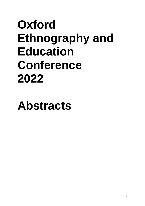# **Oxford Ethnography and Education Conference 2022**

**Abstracts**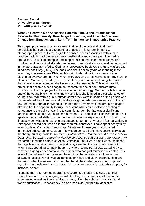## **Barbara Becnel University of Edinburgh s1584102@sms.ed.ac.uk**

## **What Do I Do with Me? Assessing Potential Pitfalls and Perquisites for Researcher Positionality, Knowledge Production, and Possible Epistemic Change from Engagement in Long-Term Immersive Ethnographic Practice**

This paper provides a substantive examination of the potential pitfalls and perquisites that can beset a researcher engaged in long-term immersive ethnographic practice. Here I argue the consequences associated with such a practice could impact the researcher's positionality and consequent knowledge production, as well as prompt surprise epistemic change in the researcher. This confluence of conceptual strands can be seen most vividly in an anecdote recounted in the last paragraph of Alice Goffman's provocative book, *On the Run: Fugitive Life in an American City* (2014). The book was about her six years of spending most every day in a low-income Philadelphia neighborhood trailing a coterie of young black men everywhere, many of whom were avoiding arrest warrants for any manner of crimes. Goffman, raised by a rich white family from an upscale neighborhood of the same city, was attending the University of Pennsylvania. This ethnographic project that became a book began as research for one of her undergraduate courses. On the final page of a discussion on methodology, Goffman tells how after one of the young black men she knew was killed, she jumped in a car with another young black man with a gun. Goffman admits they were in search of the person who had murdered their friend — and that they sought murderous vengeance. In the last few sentences, she acknowledges her long-term immersive ethnographic research afforded her the opportunity to truly understand what could motivate a feeling of vengeance to the point of wanting to commit murder. So, that was a significant, tangible benefit of this type of research method. But she also acknowledged that her epistemic lens had shifted by her long-term immersive experience, thus blurring the lines between what she had long understood to be right or wrong. *That* realization, in retrospect, scared her, which she transparently confessed. I have spent nearly thirty years studying California street gangs. Nineteen of those years I conducted immersive ethnographic research. Knowledge derived from this research serves as the theory-building basis for my thesis, *Culture of the Condemned: A Critique of How Death Row Became a Symbol of Heroism for America's Street-Gang Generation*. My research experience paralleled Alice Goffman's. There were times when I matched the rage levels against the criminal justice system that the black gangsters with whom I was spending so many hours a day felt. At one point I was asked to try to convince a gang leader not to kill the person who had just murdered his sister. This level of trust allowed me to see and hear things that outsiders would never be allowed to access, which was an immense privilege and aid in understanding and theorizing what I witnessed. On the other hand, the challenge was how to position myself in the thesis work and in determining my authentic role: autoethnographer, for instance, or not?

I contend that long-term ethnographic research requires a reflexivity plan that coincides — and thus is ongoing — with the long-term immersive ethnographic experience, as well as thesis writing process, given the scholar's risk of cultural transmogrification. Transparency is also a particularly important aspect of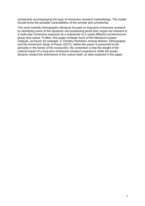scholarship accompanying this type of immersive research methodology. The reader should know the possible vulnerabilities of the scholar and scholarship.

This work extends ethnographic literature focused on long-term immersive research by identifying some of the epistemic and positioning perils that I argue are inherent to a multi-year immersive exposure by a researcher to a vastly different socioeconomic group and culture. Further, this paper contests much of the literature's power critiques, as found, for example, in Timothy Pachirat's *Among Wolves: Ethnography and the Immersive Study of Power* (2017), where the power is presumed to be primarily in the hands of the researcher. My contention is that the weight of the cultural impact of a long-term immersive research experience shifts the power dynamic toward the dominance of the culture itself, an idea explored in this paper.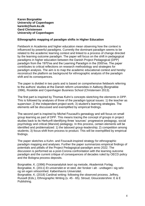**Karen Borgnakke University of Copenhagen karenb@hum.ku.dk Gerd Christensen University of Copenhagen**

## **Ethnographic mapping of paradigm shifts in Higher Education**

Fieldwork in Academia and higher education mean observing how the context is influenced by powerful paradigms. Currently the dominant paradigm seems to be related to the academic learning context and linked to a process of change directed by the learning outcome paradigm. The paper will focus on the shift in pedagogical paradigms in higher education between the Danish Project Pedagogical (DPP) paradigm from the 1970'es and the Learning Paradigm in the 2000'es. The paper contributes to critical reflections on research methodology and strategies for paradigm analysis. The aim is to map the academic educational context and hereby reconstruct the platform as background for ethnographic analysis of the paradigm shift and its consequences.

The paper is divided in two parts and is based on comprehensive fieldwork referring to the authors' studies at the Danish reform universities in Aalborg (Borgnakke 1996), Roskilde and Copenhagen Business School (Christensen 2013).

The first part is inspired by Thomas Kuhn's concepts sketching the elements in DPP. This is followed by analyses of three of the paradigm typical issues: 1) the teacher as supervisor; 2) the independent project work; 3) student's learning strategies. The elements will be discussed and exemplified by empirical findings.

The second part is inspired by Michel Foucault's genealogy and will focus on small group learning as part of DPP. This means tracing the concept of groups in project studies back to its Herkunft identifying three 'sources': progressive pedagogy, social psychology and critical (Marxist) pedagogy. In this process, certain elements will be identified and problematized: 1) the tabooed group-leadership; 2) competition among students; 3) focus-shift from process to product. This will be exemplified by empirical findings.

The paper sketches a Kuhn- and Foucault-inspired strategy for ethnographic paradigm mapping and analyses. Further the paper summarizes empirical findings of potentials and pitfalls of the Project Pedagogical-paradigm anno 2022. The discussion is performed as a post-Corona confrontation with the learning outcome paradigm and the current critique of consequences of decades ruled by OECD policy and the Bologna process deposits.

Borgnakke, K. (1996) Procesanalytisk teori og metode, Akademisk Forlag. Borgnakke, K. (2011) Et universitet er et sted, der forsker i alt - undtagen i sig selv og sin egen virksomhed. Københavns Universitet. Borgnakke, K. (2018) Cardinal writing: following the observed process. Jeffrey, Russell (Eds.), Ethnographic Writing (s. 45 - 65). Stroud, Gloucestershire: E & E Publishing.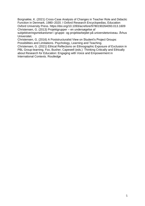Borgnakke, K. (2021) Cross-Case Analysis of Changes in Teacher Role and Didactic Function in Denmark, 1980–2020. I Oxford Research Encyclopedias, Education Oxford University Press. https://doi.org/10.1093/acrefore/9780190264093.013.1609 Christensen, G. (2013) Projektgrupper – en undersøgelse af

subjektiveringsmekanismer i gruppe- og projektarbejdet på universitetsniveau. Århus Universitet.

Christensen, G. (2016) A Poststructuralist View on Student's Project Groups: Possibilities and Limitations. Psychology, Learning and Teaching.

Christensen, G. (2021) Ethical Reflections on Ethnographic Exposure of Exclusion in PBL Group-learning. Fox, Busher, Capewell (eds.) Thinking Critically and Ethically about Research for Education: Engaging with Voice and Empowerment in International Contexts. Routledge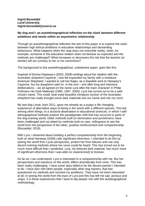**Ingrid Bosseldal Lund University Ingrid.bosseldal@uvet.lu.se**

# **My dog and I: an autoethnographical reflection on the clash between different ambitions and needs within an asymmetric relationship**

Through an autoethnographical reflection the aim of this paper is to explore the clash between high ethical ambitions in educative relationships and demanding behaviours. What happens when the map does not resemble reality, when, for example, someone in the educative relation does not behave as expected and the methods are challenged? What increases or decreases the risk that the teacher (or similar) will act contrary to her or his convictions?

The background to this autoethnographical, substantive paper, goes like this:

Inspired of Donna Haraway's (2003, 2008) writings about her relation with the Australian shepherd Cayenne, I last fall expanded my family with a miniature American Shepherd. I wanted to call her Kajan, as a Swedish wink to Haraway's Cayenne, but my daughters said no. In the end – and after long and intensive deliberations – we all agreed on the name Lyra after the main character in Philip Pullmans His Dark Materials (1995, 1997, 2000). Lyra has turned out to be a wellchosen name. This small, blue-eyed beautiful miniature version of the Australian shepherd has really brought some dark materials into our home and into my mind.

My last dog Lissie, born 2011, gave me already as a puppy a life changing experience of alternative ways of being in the world with a different species. This led, among other things, to a doctoral dissertation in educational sciences, in which I with ethnographical methods explore the paradigmatic shift that has occurred in parts of the dog-training world. Older methods built on domination and punishment, have been challenged and out dated by methods built on care, willingness to see the world from the perspective of the other, positive reinforcement and companionship (Bosseldal, 2019).

With Lyra, I dreamed about building a perfect companionship from the beginning. built on what Haraway (2008) calls significant otherness. I intended to do this by seeing the world from Lyras perspective, protect her from failures and use only decent training methods where her voice could be heard. This has turned out to be much more difficult than I predicted. Lyra, my beloved dark material, has much more of significant otherness than I was able (or experienced) to foresee.

As far as I can understand, Lyra is interested in a companionship with me. But her perspectives and reactions on the world, differs dramatically from mine. This has been really challenging. I have some days failed to be the decent partner I intended to be. I have also met other people, especially other dog trainers, that has questioned my methods and mocked my ambitions. They have not been interested at all, in seeing the world from the eyes of Lyra and this has left me sad, anxious and angry. It is these experiences that I want to dig deeper into with the autobiographical methodology.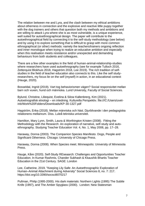The relation between me and Lyra, and the clash between my ethical ambitions about otherness in connection and the explosive and reactive little puppy together with the dog trainers and others that question both my methods and ambitions and are willing to attack Lyra where she is as most vulnerable, is a unique experience, well suited for autoethnographical design. The paper will contribute to the autoethnographical field by connecting it to the self-study methodology (see below) and by using it to explore something that is difficult to grasp with more common ethnographical (or other) methods: namely the teachers/trainers ongoing reflection and inner monologue when trying to realize an educative ambition and especially when this realisation meets resistance and/or unexpected and demanding behaviours from both students and colleagues.

There are a few other examples in the field of human-animal-relationship-studies where researchers have used autoethnography (see for example Tulloch 2016, Zetterquist Blokhuis 2018, Hagström 2018, Lee 2019). The rich tradition of selfstudies in the field of teacher education also connects to this. Like the self studyresearchers, my focus lie on the self (myself) in action, in an educational context (Hauge, 2020).

Bosseldal, Ingrid (2019). Vart tog behaviorismen vägen? Social responsivitet mellan barn och vuxen, hund och människa. Lund University, Faculty of Social Sciences.

Bylund, Christine, Liliequist, Evelina & Silow Kallenbrerg, Kim (2021). Autoetnografisk etnologi – en inledning. Kulturella Perspektiv. file:///C:/Users/uvetinb/Work%20Folders/Downloads/KP-30-1327.pdf

Hagström, Erika (2018). Mellan människa och häst. Djurblivande i den pedagogiska relationens mellanrum. Diss. Luleå tekniska universitet.

Hamilton, Mary Lynn, Smith, Laura & Worthington Kristen (2008). Fitting the Methodology with the Research: An exploration of narrative, self-study and autoethnography. Studying Teacher Education Vol. 4, No. 1, May 2008, pp. 17–28.

Haraway, Donna (2003). The Companion Species Manifesto. Dogs, People and Significant Otherness. Chicago: University of Chicago Press.

Haraway, Donna (2008). When Species meet. Minneapolis: University of Minnesota Press.

Hauge, Kåre (2020). Self-Study REseaarch: Challenges and Opportunities Teacher Education. In Kumar Rashmis, Chander Subhash & Kkaushik Bhartis Teacher Education in the 21st Century. SAGE: London

Lee, Catherine. 2019. "Keeping Lily Safe: An Autoethnographic Exploration of Human–Animal Attachment during Adversity" Social Sciences 8, no. 7: 217. https://doi.org/10.3390/socsci8070217

Pullman, Philip (1995-2000). His dark materials: Northern Lights (1995) The Subtle Knife (1997), and The Amber Spyglass (2000). London: New Statesman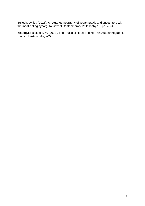Tulloch, Lynley (2016). An Auto-ethnography of vegan praxis and encounters with the meat-eating cyborg. Review of Contemporary Philosophy 15, pp. 28–45.

Zetterqvist Blokhuis, M. (2018). The Praxis of Horse Riding – An Autoethnographic Study. HumAnimalia, 9(2).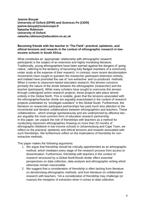**Jeanne Bouyat University of Oxford (DPIR) and Sciences Po (CERI) jeanne.bouyat@sciencespo.fr Natasha Robinson University of Oxford natasha.robinson@education.ox.ac.uk**

## **Becoming friends with the teacher in 'The Field': practical, epistemic, and ethical tensions and rewards in the context of ethnographic research in lowincome schools in South Africa.**

What constitutes an 'appropriate' relationship with ethnographic research participants is the subject of an extensive and highly moralising literature. Traditionally, young ethnographers have been warned against the dangers of 'going native,' referring to the tendency of becoming fully fledged members of a community under study at the expense of their research. In contrast, more recent decolonisation movements have sought to question the researcher-participant distinction entirely, and instead have promoted the use of 'non-extractive' and co-produced methods. When it comes to classroom-based education research, this tension concerns primarily the nature of the divide between the ethnographer (researcher) and the teacher (participant). While many scholars have sought to overcome this tension through codesigned action-research projects, these projects take place almost entirely in the Global North. This is notable, given that the tensions associated with the ethnographer/teacher divide are arguably exacerbated in the context of research projects undertaken by "privileged outsiders" in the Global South. Furthermore, the literature on researcher-participant partnerships has paid much less attention to the incremental and iterative collaborations between ethnographers and teachers. These collaborations - which emerge spontaneously and are underpinned by affective ties are arguably the most common form of education research partnership. In this paper, we unpack the role of friendships with teachers as a method for conducting classroom ethnographies Drawing on more than 20 months of ethnographic fieldwork in low-income schools in Johannesburg and Cape Town, we reflect on the practical, epistemic and ethical tensions and rewards associated with such friendships. We furthermore reflect on the implications of friendship for nonextractive methods.

This paper makes the following arguments:

- 1. We argue that friendship should be critically apprehended as an ethnographic method, which mediates every stage of the research process from access to dissemination. Furthermore, friendship with teachers in the context of research structured by a Global North/South divide offers essential perspectives on data collection, data analysis and ethnographic writing which otherwise remain inaccessible.
- 2. We suggest that a consideration of friendship is often lacking from literature on decolonising ethnographic methods, and from literature on collaborative research with teachers. Yet a consideration of friendship may challenge (or nuance) the metaphor of extraction when it comes to data collection.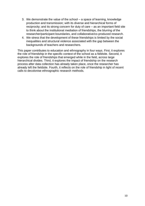- 3. We demonstrate the value of the school a space of learning, knowledge production and transmission; with its diverse and hierarchical forms of reciprocity; and its strong concern for duty of care – as an important field site to think about the institutional mediation of friendships, the blurring of the researcher/participant boundaries, and collaborative/co-produced research.
- 4. We stress that the development of these friendships is limited by the social inequalities and structural violence associated with the gap between the backgrounds of teachers and researchers.

This paper contributes to education and ethnography in four ways. First, it explores the role of friendship in the specific context of the school as a fieldsite. Second, it explores the role of friendships that emerged while in the field, across large hierarchical divides. Third, it explores the impact of friendship on the research process after data collection has already taken place, once the researcher has already left the fieldsite. Fourth, it reflects on the role of friendship in light of recent calls to decolonise ethnographic research methods.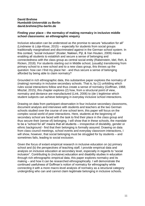# **David Brehme Humboldt-Universität zu Berlin david.brehme@hu-berlin.de**

## **Finding your place – the normalcy of making normalcy in inclusive middle school classrooms: an ethnographic enquiry**

Inclusive education can be understood as the promise to secure "education for all" (Lindmeier & Lütje-Klose, 2015) – especially for students from social groups traditionally marginalised and discriminated against in the German school system. In this context, "social inclusion" (Koster, Nakken, Pijl, & Van Houten, 2009) means enabling all students to establish and secure a sense of belonging and connectedness with the class group as central social entity (Rabenstein, Idel, Reh, & Ricken, 2018). For students starting out in Middle school, (usually) transitioning from primary school to a new school and to a new class group, this throws up the question: how can I find my place her - and thus secure a sense of belonging afforded by being able to claim normalcy?

Grounded in rich ethnographic data, this substantive paper explores the normalcy of (making) normalcy in inclusive secondary schools. That is, by (1) unfolding which rules social interactions follow and thus create a sense of normalcy (Goffman, 1968; Misztal, 2015), this chapter explores (2) how, from a structural point of view, normalcy and deviance are manufactured (Link, 2006) to (de-) legitimise which student subjects can achieve belonging in everyday inclusive school interactions.

Drawing on data from participant observation in four inclusive secondary classrooms, document analysis and interviews with students and teachers at the two German schools studied over the course of one school term, this paper will focus on the complex social world of peer interactions. Here, students at the beginning of secondary school are faced with the task to find their place in the class group and thus secure their (sense of) belonging. I will show that in these schools, the mandate to be a "school for all" means that all students – irrespective of dis/ability, gender or ethnic background - find that their belonging is formally assured. Drawing on data from class council meetings, school events and everyday classroom interactions, I will show, however, that social belonging must be struggled for by students – and sometimes fails, leading to social exclusion.

Given the focus of extant empirical research in inclusive education on (a) primary school and (b) the perspectives of teaching staff, I provide empirical data and analysis on inclusive education at secondary level, especially in regards to "social inclusion". Contributing to (inclusive) education and disability studies in education through rich ethnographic empirical data, this paper explores normalcy and its making – and how it can be researched ethnographically. I will demonstrate the continued usefulness of Goffman's notion of normalcy for ethnography while connecting it with a more macro-level analysis of normalcy as a structural category undergirding who can and cannot claim legitimate belonging in inclusive schools.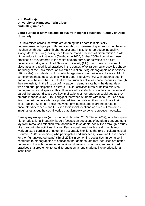# **Kriti Budhiraja University of Minnesota Twin Cities budhi006@umn.edu**

# **Extra-curricular activities and inequality in higher education: A study of Delhi University**

As universities across the world are opening their doors to historically underrepresented groups, differentiation through gatekeeping access is not the only mechanism through which higher educational institutions reproduce inequality. Alongside, there is a growing need to understand practices of differentiation inside higher educational institutions (Deshpande 2020, Stuber 2009). I consider these practices as they emerge in the realm of extra-curricular activities at an elite university in India, which I call National University (NU). I ask: how do dominant discourses and routinized practices in the context of extra-curricular activities shape inequality at the university? I answer this question using ethnographic observations (16 months) of student-run clubs, which organize extra-curricular activities at NU. I complement these observations with in-depth interviews (50) with students both in and outside these clubs. I find that extra-curricular activities shape inequality through their exclusivity. In the first part of my paper, I demonstrate how the demands on time and prior participation in extra-curricular activities turns clubs into relatively homogenous social spaces. This ultimately silos students' social ties. In the second part of the paper, I discuss two key implications of homogenous social ties as they emerge in these clubs. First, I suggest that when students with resource-rich social ties group with others who are privileged like themselves, they consolidate their social capital. Second, I show that when privileged students are not forced to encounter difference – and thus see their social locations as such – it reinforces imaginaries about the social worlds that ultimately serve to reproduce inequality.

Barring key exceptions (Armstrong and Hamilton 2013, Stuber 2009), scholarship on higher educational inequality largely focuses on questions of academic engagement. My work refocuses attention from academics to students' social lives through a study of extra-curricular activities. It also offers a novel lens into this realm: while most work on extra-curricular engagement accurately highlights the role of cultural capital (Bourdieu 1986) in deciding who participates and succeeds, I examine these spaces for their "unanticipated gains" (Small 2013) in cementing social ties. In doing so, I contribute to ethnographies of education that demonstrate that inequities are better understood through the embodied actions, dominant discourses, and routinized practices that create horizontal differentiation among students inside educational institutions.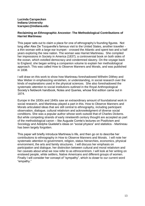## **Lucinda Carspecken Indiana University lcarspec@indiana.edu**

## **Reclaiming an Ethnographic Ancestor: The Methodological Contributions of Harriet Martineau**

This paper sets out to claim a place for one of ethnography's founding figures. Not long after Alex De Tocqueville's famous visit to the United States, another traveller a thin woman with a large ear trumpet - crossed the Atlantic and spent two and a half years exploring the new nation. The woman was Harriet Martineau. She compiled her impressions in Society in America (1837); a controversial book on both sides of the ocean, which extolled democracy and condemned slavery. On the voyage back to England, she began writing a companion volume to explain her methodological approach. This was called How to Observe Manners and Morals, and was published in 1838.

I will draw on this work to show how Martineau foreshadowed Wilhelm Dilthey and Max Weber in emphasizing verstehen, or understanding, in social research over the kinds of explanations used in the physical sciences. She also foreshadowed the systematic attention to social institutions outlined in the Royal Anthropological Society's fieldwork handbook, Notes and Queries, whose first edition came out in 1874.

Europe in the 1830s and 1840s saw an extraordinary amount of foundational work in social research, and Martineau played a part in this. How to Observe Manners and Morals articulated ideas that are still central to ethnography, including participant observation, dialogue, cultural relativism and acknowledgment of diverse social conditions. She was a popular author whose work outsold that of Charles Dickens. But while competing strands of early nineteenth century thought are accepted as part of the methodological canon – like Auguste Comte's lectures on Positivism and Sociology and Adolphe Quetelet's ideas on "social physics" and statistics - Martineau has been largely forgotten.

This paper will briefly introduce Martineau's life, and then go on to describe her contributions to ethnography in How to Observe Manners and Morals. I will note her systematic attention to government, religion, status hierarchies, economics, physical environment, the arts and family structures. I will discuss her emphasis on participation and dialogue, her distinction between cultural and moral relativism and her caveats about what we now refer to as ethnocentrism. I will look at her writing on enslaved people, white settlers, Native Americans and different groups of women. Finally I will consider her concept of "sympathy", which is closer to our current word "empathy."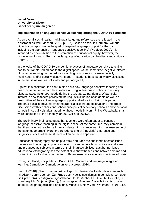## **Isabel Dean University of Siegen isabel.dean@uni-siegen.de**

# **Implementation of language-sensitive teaching during the COVID-19 pandemic**

As an overall social reality, multilingual language references are reflected in the classroom as well (Mecheril, 2016, p. 17f.). Based on this, in Germany, various didactic concepts pursue the goal of targeted language support for German, including the approach of "language-sensitive teaching" (Prediger, 2020). It is intended as a contribution to the promotion of educational equity; however, the monolingual focus on German as language of education can be discussed critically (Dirim, 2010).

In the wake of the COVID-19 pandemic, practices of language-sensitive teaching had to be transferred ad hoc to the digital space. At the same time, negative effects of distance learning on the (educational) linguistic situation of –– especially multilingual and/or socially disadvantaged –– students have been widely discussed in the media as well as politically and pedagogically.

Against this backdrop, the contribution asks how language-sensitive teaching has been implemented in both face-to-face and digital lessons in schools in socially disadvantaged neighbourhoods during the COVID-19 pandemic. Of particular interest is how teachers perceived the linguistic situation of students as well as possibilities of their active language support and education during this period. The data basis is provided by ethnographical classroom observations and group discussions with teachers and school principals at secondary schools and vocational schools in socially disadvantaged neighbourhoods in North Rhine-Westphalia, that were conducted in the school year 2020/21 and 2021/22.

The preliminary findings suggest that teachers were often eager to continue language-sensitive teaching in the digital space. At the same time, they complain that they have not reached all their students with distance learning because some of the latter 'submerged'. Here, the (re)addressing of (linguistic) difference and (linguistic) deficits of these students often became apparent.

Educational ethnography can help to track and trace the challenge of established routines and pedagogical practices in situ. It can capture how pupils are addressed and produced as subjects in terms of their linguistic abilities. Last but not least, educational ethnography has the potential to show the tensions between claims and contradictions of a diversity-oriented, difference-sensitive education in times of crisis.

Coyle, Do; Hood, Philip; Marsh, David: CLIL: Content and language integrated learning. Cambridge: Cambridge university press, 2010.

Dirim, I. (2010). "Wenn man mit Akzent spricht, denken die Leute, dass man auch mit Akzent denkt oder so." Zur Frage des (Neo-)Linguizismus in den Diskursen über die Sprache(n) der Migrationsgesellschaft. In: P. Mecheril, İ. Dirim, M. Gomolla, S. Hornberg & K. Stojanov (Hrsg.), Spannungsverhältnisse. Assimilationsdiskurse und interkulturell-pädagogische Forschung. Münster & New York: Waxmann, p. 91–112.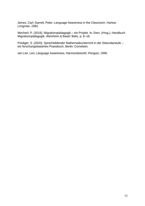James, Carl; Garrett, Peter: Language Awareness in the Classroom. Harlow: Longman, 1992.

Mecheril, P. (2016). Migrationspädagogik – ein Projekt. In: Ders. (Hrsg.), Handbuch Migrationspädagogik. Weinheim & Basel: Beltz, p. 8–18.

Prediger, S. (2020). Sprachbildender Mathematikunterricht in der Sekundarstufe – ein forschungsbasiertes Praxisbuch. Berlin: Cornelsen.

van Lier, Leo: Language Awareness. Harmondsworth: Penguin, 1995.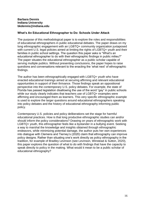## **Barbara Dennis Indiana University bkdennis@indiana.edu**

# **What's An Educational Ethnographer to Do: Schools Under Attack**

The purpose of this methodological paper is to explore the roles and responsibilities of educational ethnographers in public educational debates. The paper draws on my long ethnographic engagement with an LGBTQ+ community organization juxtaposed with current U.S. legal policies aimed at limiting the rights of LGBTQ+ youth and their families in public school settings. The question this paper asks is "What's an educational ethnographer to do with their ethnographic findings in public milieu?" The paper situates the educational ethnographer as a public scholar capable of serving multiple publics. Without presenting conclusions, the paper hopes to raise questions and conversations relevant to the enacting the 'what next' of ethnographic findings.

The author has been ethnographically engaged with LGBTQ+ youth who have enacted educational trainings aimed at securing affirming and relevant educational opportunities in support of their thrivance. Those findings speak an oppositional perspective into the contemporary U.S. policy debates. For example, the state of Florida has passed legislation disallowing the use of the word "gay" in public schools while our study clearly indicates that teachers use of LGBTQ+ examples were affirming and encouraged them as learners. This very specific ethnographic example is used to explore the larger questions around educational ethnographers speaking into policy debates and the history of educational ethnography informing public policy.

Contemporary U.S. policies and policy deliberations set the stage for harmful educational practices. How is that long productive ethnographic studies can and/or should inform the policy considerations? Drawing on years of ethnographic work with LGBTQ+ youth, this ethnographer feels like a bystander in a bullying event. Seeking a way to marshal the knowledge and insights obtained through ethnographic endeavors, while minimizing potential damage, the author puts her own experiences into dialogue with Clemens and Tierney's (2020) claim that ethnography can improve policy designs. Rather than situating one's work directly as policy ethnography in the tradition, for example of Bradley Levinson (see Levinson, Winstead & Sutton, 2020), this paper explores the question of what to do with findings that have the capacity to speak directly to policy in the making. What would it mean to be a public scholar of educational ethnography?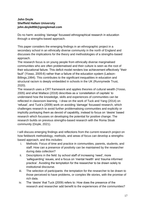# **John Doyle Sheffield Hallam University john.doyle856@googlemail.com**

Do no harm: avoiding 'damage' focussed ethnographical research in education through a strengths-based approach.

This paper considers the emerging findings in an ethnographic project in a secondary school in an ethnically diverse community in the north of England and discusses the implications for the theory and methodologies of a strengths-based approach.

The research focus is on young people from ethnically diverse marginalised communities who are often problematised and their culture is seen as the root of their educational failure. This deficit model renders low achievement effectively "their fault" (Yosso, 2005:6) rather than a failure of the education system (Ladson-Billings,1994). This contributes to the significant inequalities in education and structural racism is deeply embedded in schools in the UK (Runnymede Trust, 2020).

The research uses a CRT framework and applies theories of cultural wealth (Yosso, 2005) and what Wallace (2018) describes as a 'constellation of capitals' to understand how the knowledge, skills and experiences of communities can be reflected in classroom learning. I draw on the work of Tuck and Yang (2014) on 'refusal', and Tuck's (2009) work on avoiding 'damage' focussed research, which challenges research to avoid further problematising communities and explicitly or implicitly portraying them as devoid of capability, instead to focus on 'desire' based research which focusses on developing the potential for positive change. The research builds on previous strengths-based research with the Roma Sloak community (Doyle, 2021).

I will discuss emerging findings and reflections from the current research project on how fieldwork methodology, methods, and areas of focus can develop a strengthsbased approach, and this includes:

- i. Methods: Focus of time and practice in communities, parents, students, and staff. How can a presence of positivity can be maintained by the researcher during data collection?
- ii. Descriptions in the field: by school staff of increasing 'need', more 'safeguarding' issues, and a focus on 'mental health' and 'trauma informed practice'. Avoiding the temptation for the researcher to be drawn solely to institutional discourse.
- iii. The selection of participants: the temptation for the researcher to be drawn to those perceived to have problems, or complex life stories, with the promise of rich data.
- iv. The 'desire' that Tuck (2009) refers to: How does the presence of the research and researcher add benefit to the experiences of the communities?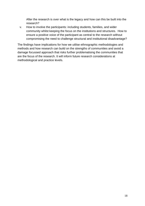After the research is over what is the legacy and how can this be built into the research?

v. How to involve the participants: including students, families, and wider community whilst keeping the focus on the institutions and structures. How to ensure a positive voice of the participant as central to the research without compromising the need to challenge structural and institutional disadvantage?

The findings have implications for how we utilise ethnographic methodologies and methods and how research can build on the strengths of communities and avoid a damage focussed approach that risks further problematising the communities that are the focus of the research. It will inform future research considerations at methodological and practice levels.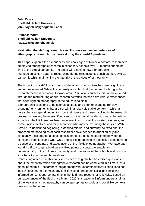**John Doyle Sheffield Hallam University john.doyle856@googlemail.com**

**Rebecca White Sheffield Hallam University rw2211@hallam.shu.ac.uk**

# **Navigating the shifting research site: Two researchers' experiences of ethnographic research in schools during the covid-19 pandemic.**

This paper explores the experiences and challenges of two new doctoral researchers employing ethnographic research in secondary schools over 18 months during the time of the global pandemic. The paper will examine how ethnographic methodologies can adapt to researching during circumstances such as the Covid-19 pandemic whilst maintaining the integrity of the values of ethnography.

The impact of covid-19 on schools, students and communities has been significant and unprecedented. While it is generally accepted that the nature of ethnographic research means it can adapt to 'work around' situations such as this, we have found through the restructuring of our research activities that we have unique experiences that shed light on ethnography in the educational field.

Ethnographic sites tend to be seen as a stable and often unchanging (or slow changing) environments that are set within a relatively stable context in which a researcher can spend getting to know their space and those involved in the research process. However, the ever-shifting sands of the global pandemic means that within schools in the UK there has been an inherent lack of stability for staff, students, and communities involved, and for researchers who may be exploring these sites. With Covid-19's unplanned beginning, extended middle, and currently no fixed end, the proposed methodologies of each researcher have needed to adapt quickly and constantly. This created a sense of dissonance for us as researchers between our plans and intentions and what was, and still is, happening in the field. It goes beyond a sense of uncertainty and expectations of the 'flexible' ethnographer. We have often found it difficult to get a hold on any fixed points or context to enable an understanding of the culture, community, and operations of the schools and how this links back to our research questions.

Conducting research in this context has been insightful but has raised questions about the extent to which ethnographic research can be conducted in a time such a global pandemic. Researchers' engagement with uncertain fieldwork conditions has implications for, for example, any familiarisation phase, ethical issues including informed consent, appropriate time in the field, and researcher reflexivity. Based on our experiences of the field since March 2020, this paper will inform understandings of the way in which ethnography can be appropriate to covid and covid like contexts now and in the future.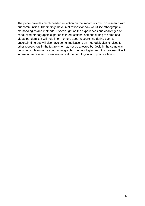The paper provides much needed reflection on the impact of covid on research with our communities. The findings have implications for how we utilise ethnographic methodologies and methods. It sheds light on the experiences and challenges of conducting ethnographic experience in educational settings during the time of a global pandemic. It will help inform others about researching during such an uncertain time but will also have some implications on methodological choices for other researchers in the future who may not be affected by Covid in the same way, but who can learn more about ethnographic methodologies from this process. It will inform future research considerations at methodological and practice levels.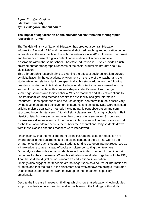**Aynur Erdoğan Coşkun Istanbul University aynur.erdogan@istanbul.edu.tr**

# **The impact of digitalization on the educational environment: ethnographic research in Turkey**

The Turkish Ministry of National Education has created a central Education Information Network (EIN) and has made all digitized teaching and education content accessible at the national level through this network since 2012. However, the format and frequency of use of digital content varies in different schools and even classrooms within the same school. Therefore, education in Turkey provides a rich environment for ethnographic research of the socio-culturalism brought about by digitalization.

This ethnographic research aims to examine the effect of socio-culturalism created by digitalization in the educational environment on the role of the teacher and the student-teacher relationship. More specifically, this study addresses the following questions: While the digitalization of educational content enables knowledge to be learned from the machine, this process shape student's view of knowledge, knowledge sources and their teachers? Why do teachers and students continue to use traditional learning methods despite the availability of digital information resources? Does openness to and the use of digital content within the classes vary by the level of academic achievement of students and schools? Data were collected utilizing multiple qualitative methods including participant observation and semistructured in-depth interviews. A total of eight classes from four high schools in Fatih district of Istanbul were observed over the course of one semester. Schools and classes were diverse in terms of the use of digital content within the courses as well as the level of academic achievement. After the observations, forty students drawn from these classes and their teachers were interviewed.

Findings show that the most important digital instruments used for education are smartboards in the classrooms and the digital content of the EIN, as well as the smartphones that each student has. Students tend to use open internet resources as a knowledge resource instead of books or -often- consulting their teachers. Our analyses also indicate that students refer to a limited number of open internet resources for their homework. When this situation is evaluated together with the EIN, it can be said that digitalization standardizes educational information. Findings also suggest that teachers are no longer seen as a source of information for students and that their role in the classroom has evolved towards being a "facilitator". Despite this, students do not want to give up on their teachers, especially emotionally.

Despite the increase in research findings which show that educational technologies support student-centered learning and active learning, the findings of this study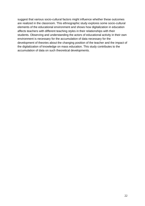suggest that various socio-cultural factors might influence whether these outcomes are realized in the classroom. This ethnographic study explores some socio-cultural elements of the educational environment and shows how digitalization in education affects teachers with different teaching styles in their relationships with their students. Observing and understanding the actors of educational activity in their own environment is necessary for the accumulation of data necessary for the development of theories about the changing position of the teacher and the impact of the digitalization of knowledge on mass education. This study contributes to the accumulation of data on such theoretical developments.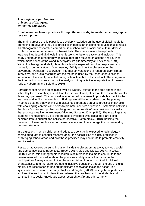## **Ana Virginia López Fuentes University of Zaragoza avlfuentes@unizar.es**

#### **Creative and inclusive practices through the use of digital media: an ethnographic research project**

The main purpose of this paper is to develop knowledge on the use of digital media for promoting creative and inclusive practices in particular challenging educational contexts. An ethnographic research is carried out in a school with a racial and cultural diverse context in a suburban area in north-east Italy. The specific aim is to explore how teachers introduce digital tools in their lessons to foster creativity and inclusion. This study understands ethnography as social research focused on actions and routines which make sense of the world in everyday life (Hammersley and Atkinson, 1994). Within this background, daily life at this school is explored from the deeply inside in naturally occurring settings (Hammersley, 2018) such as the classroom or the playground. Participant observation, informal conversations, a research diary, filmedinterviews, and audio-recording are the methods used by the researcher to collect information. It is mainly collected during school time but not limited to it. The analysis of the information includes an inductive analysis with qualitative interpretation of meaning (Miles, Huberman and Saldaña, 2019).

Participant observation takes place over six weeks. Related to the time spend in the school by the researcher; it is full time the first week and, after that, the rest of the weeks three days per week. The last week is another full time week to provide feedback to the teachers and to film the interviews. Findings are still being updated, but the primary hypothesis states that working with digital tools promotes creative practices in schools with challenging contexts and helps to promote inclusive education. Systematic activities that favor "expression, problem-solving and communication" are considered as tasks that promote creative development (Vigo and Soriano, 2014, p.266). The meanings that students and teachers give to the products developed with digital tools are being explored from a cultural and holistic perspective (Hammersley, 2018), noticing the potential of these practices to normalize diversity and to encourage the understanding between students.

In a digital era in which children and adults are constantly exposed to technology, it seems adequate to conduct research about the possibilities of digital practices in challenging school areas and how these practices may contribute to promote creativity and inclusion.

Research advocates pursuing inclusion inside the classroom as a way towards social and democratic justice (Slee 2011; Beach, 2017; Vigo and Dieste, 2017; Ainscow, 2020). Hence, this ethnographic research is of interest as it aims to contribute to the development of knowledge about the practices and dynamics that promote the participation of every student in the classroom, taking into account their individual characteristics and therefore, promoting inclusive education, through the use of digital media. The researcher carries out participant observation inside the school in a systematic and non-intrusive way (Taylor and Bogdan, 2008), having the opportunity to explore different kinds of interactions between the teachers and the students and contributing to social knowledge about research *in situ* and ethnography.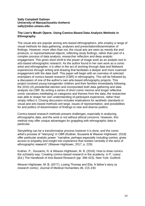## **Sally Campbell Galman University of Massachusetts-Amherst sally@educ.umass.edu**

# **The Lion's Mouth Opens: Using Comics-Based Data Analysis Methods in Ethnography**

The visual arts are popular among arts-based ethnographers, who employ a range of visual methods for data gathering, analyses and presentation/dissemination of findings. However, more often than not, the visual arts are seen as merely the end products, or representational objects, reflecting study findings, rather than part of a complex process of data analysis, researcher reflection and deep analytic engagement. This gives short shrift to the power of image work as an analytic tool in arts-based ethnographic research. As the author found in her own work as a comic artist and ethnographer, it is often in the act of working through data and fieldwork experiences through writing and drawing that facilitates a deeper and more nuanced engagement with the data itself. This paper will begin with an overview of selected exemplars of comics-based research (CBR) in ethnography. This will be followed by a discussion of one of the author's own arts-based ethnography projects. This project involved young transgender children and their families immediately following the 2016 US presidential election and incorporated both data gathering and data analysis via CBR. By writing a series of short comic memos and longer reflective comic narratives meditating on categories and themes from the data, the researcher was able to shape her own understanding of participant experience, rather than simply reflect it. Closing discussion includes implications for aesthetic standards in visual and arts-based methods writ large, issues of representation, and possibilities for and politics of dissemination of findings to new and diverse publics.

Comics-based research methods present challenges, especially in analyzing ethnographic data, and the work is not without ethical concerns. However, this method may offer unique advantages for grappling with ethnographic data in particular.

Storytelling can be a transformative process however it is done, and the comic artist's process of "retorying" in CBR (Kuttner, Sousanis & Weaver-Hightower, 2018) offer particular analytic power: "narrative, perhaps especially including comics, gives access to empathy and insight into experience that resides centrally in the aims of ethnographic research" (Weaver-Hightower, 2017, p. 229)

Kuttner, P., Sousanis, N. & Weaver-Hightower, M. B. (2018). How to draw comics the scholarly way: Creating comics-based research in the academy. In P. Leavy (Ed.) The Handbook of Arts-Based Research (pp. 396-423). New York: Guilford.

Weaver-Hightower, M. B. (2017). Losing Thomas and Ella: A father's story (a research comic). Journal of Medical Humanities 38, 215-230.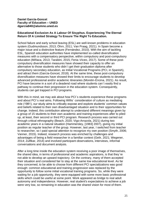# **Daniel García-Goncet Faculty of Education – UNED dgarcia840@alumno.uned.es**

# **Educational Exclusion As A Labour Of Sisyphus. Experiencing The Eternal Return Of A Limited Strategy To Ensure The Right To Education.**

School failure and early school leaving (ESL) are well-known problems in education system (Gudmundsson, 2013; Öhrn, 2011; Van Praag, 2021). In Spain become a major issue and a distinctive feature (Fernández, 2010). With the aim of tackling ESL, Spanish education authorities have implemented so-called diversification measures with a compensatory perspective, within compulsory and post-compulsory education (Miñaca, 2013; Tarabini, 2015; Feria–Viceo, 2017). Some of these postcompulsory diversification measures have showed their capacity to offer an alternative to those students who didn´t get their graduation diploma after compulsory secondary education, as Initial Vocational Programs (PCI, in Spanish), and attract them (García-Goncet, 2018). At the same time, these post-compulsory diversification measures have showed their limits to encourage students to develop advanced professional and/or academic itineraries (Moretin-Encina, 2021). As result, PCI have become in a sort of a deadend road where students can´t easily find a pathway to continue their progression in the education system. Consequently, students can get trapped in PCI programs.

With this in mind, we may ask about how PCI's students experience these programs and about PCI´s real aims. Following Willis´ consideration of culture as mediating role (1981), our study aims to critically expose and explore students' common values and beliefs related to their own disadvantaged situation and to their opportunities for change. Indeed, this contribution attempt to understand different meanings given by a group of 15 students to their own academic and training experiences after to piled up, at least, their second or third PCI program. Research process was carried out through critical ethnography (Beach, 2020; Vigo-Arrazola, 2021) during two academic years in a natural situation (Hammersley, [1983] 2007), giving my initial position as regular teacher of the group. However, last year, I switched from teacher to researcher, so I paid special attention to recognize my own position (Smyth, 2006; Vanner, 2015). Indeed, research process was enriched by challenges and advantages of being a field researcher in a familiar context (Gelir, 2021; Wegener, 2014; Zulfikar, 2014) and involved participant observations, interviews, informal conversations and document analysis.

After a long time inside the education system receiving a poor image of themselves, the shared idea, in terms of professional and academic aspirations, is that they´re not able to develop an upward trajectory. On the contrary, many of them accepted their situation and considered fair to stay at the same low educational level. As far they concerned, to be able to choose from different PCI specializations was good enough: common educational and training progression was replaced by the opportunity to follow some initial vocational training programs. So, while they were waiting for a job opportunity, they were equipped with some more basic professional skills which could be useful at some point. Work appeared as bridge to real adult autonomy and independence. However, real student's expectations to achieve a job were very low, so remaining in education was the shared vision for most of them.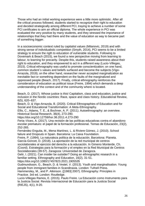Those who had an initial working experience were a little more optimistic. After all the critical process followed, students started to recognize their right to education and decided strategically among different PCI, traying to achieve a number of some PCI certificates to aim an official diploma. The whole experience in PCI was evaluated the very positive by many students, and they stressed the importance of relationships that they had there and the value of education as way to became part of something bigger.

In a socioeconomic context ruled by capitalist values (Milanovic, 2019) and with strong sense of individualistic competition (Smyth, 2014), PCI seems to be a limited strategy to ensure the rigth to education of vulnerable students. Following to Dovemark & Beach (2015), we found a new perspective moving from learning to labour, to learning for precarity. Despite this, students raised awareness about their right to education, and they empowered to act in a different way (Lucio-Villegas, 2015). Critical ethnography was useful to promote conscientization: on one hand, common student´s values and beliefs surfaced and become the subjects (Vigo-Arrazola, 2019); on the other hand, researcher never accepted marginalization as inevitable fact or something dependent on the faults of the marginalized and oppressed people (Beach, 2017). Finally, critical ethnography reinforces the consideration of education as political issue (Freire, 1994) which demands a deep understanding of the context and of the community where is located.

Beach, D. (2017). Whose justice is this! Capitalism, class and education, justice and inclusion in the Nordic countries: Race, space and class history. Educational Review, 6(5), 620–637.

Beach, D. & Vigo-Arrazola, B. (2020). Critical Ethnographies of Education and for Social and Educational Transformation: A Meta-Ethnography.

Ellis, C., Adams, T. E., & Bochner, A. P. (2011). Autoethnography: an overview. Historical Social Research, 36(4), 273-290.

https://doi.org/10.12759/hsr.36.2011.4.273-290

Feria–Viceo, A. (2017). Una revisión de las políticas educativas contra el abandono escolar prematuro: el papel de la formación profesional. Temas de Educación, 23(2), 252-265.

Fernández Enguita, M., Mena Martínez, L. & Riviere Gómez, J. (2010). School failure and Dropouts in Spain. Barcelona: La Caixa Foundation.

Freire, P. (1994). La naturaleza política de la educación. Barcelona: Planeta. García-Goncet, D. (2018). La aportación de la red municipal de centros

sociolaborales al ejercicio del derecho a la educación. In Gimeno Monterde, Ch. (Coord). Estrategias para la formación y el empleo en la Red Municipal de Centros Sociolaborales (39-57). Zaragoza: Universidad de Zaragoza.

Gelir, I. (2021). Can insider be outsider? Doing an ethnographic research in a familiar setting. Ethnography and Education, 16(2), 31-51.

https://doi.org/10.1080/17457823.2021.1905535

Gudmundsson, G., Beach, D. & Vestel, V. (2013). Youth and marginalisation. Young people from immigrant families in Scandinavia. London: Tufnell Press.

Hammersley, M., and P. Atkinson. ([1983] 2007). Ethnography: Principles in Practice. 3rd ed. London: Routledge.

Lucio-Villegas Ramos, E. (2015). Paulo Freire. La Educación como Instrumento para la Justicia Social. Revista Internacional de Educación para la Justicia Social (RIEJS), 4(1), 9-20.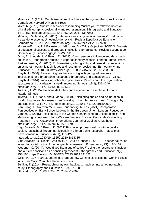Milanovic, B. (2019). Capitalism, alone: the future of the system that rules the world. Cambridge: Harvard University Press.

Miled, N. (2019). Muslim researcher researching Muslim youth: reflexive notes on critical ethnography, positionality and representation. Ethnography and Education, 14. 1–15. https://doi.org/10.1080/17457823.2017.1387063

Miñaca, I. & Hervás, M. (2013). Intervenciones dirigidas a la prevención del fracaso y abandono escolar: Un estudio de revisión. Revista Española de Educación Comparada, 21, 203-220. https://doi.org/10.5944/reec.21.2013.7620

Morentin-Encina, J. & Ballesteros Velázquez, B. (2021). Objective ISCED 3: Analysis of educational success and dropout. Implications for guidance. Revista Espanola de Orientacion y Psicopedagogia, 32(2), 7-26.

Öhrn, E., Lundahl, L. & Beach, D. (2011). Young people´s influence and democratic education. Ethnographic studies in upper secondary schools. London: Tufnell Press. Parker-Jenkins, M. (2018). Problematising ethnography and case study: reflections on using ethnographic techniques and researcher positioning. Ethnography and Education, 13(1), 18–33. https://doi.org/10.1080/17457823.2016.1253028

Smyth, J. (2006). Researching teachers working with young adolescents: implications for ethnographic research. Ethnography and Education, 1(1), 31-51. Smyth, J. (2014). Improving schools in poor areas: It's not about the organisation, structures and privatisation, stupid! Improving Schools, 17(3), 231 –240. https://doi.org/10.1177/1365480214556418

Tarabini, A. (2015). Políticas de lucha contra el abandono escolar en España. Madrid: Síntesis.

Tillema, H., L. Orland, and J. Mena. (2008). Articulating choice and deliberation in conducting research – researchers 'working in the interpretive zone'. Ethnography and Education 3(1), 49–62. https://doi.org/10.1080/17457820801899090

Van Praag, L., Nouwen, W. & Van Caudenberg, R. Eds (2021). Comparative Perspectives on Early School Leaving in the European Union. London: Routledge. Vanner, C. (2015). Positionality at the Center: Constructing an Epistemological and Methodological Approach for a Western Feminist Doctoral Candidate Conducting Research in the Postcolonial. International Journal of Qualitative Methods. https://doi.org/10.1177/1609406915618094

Vigo-Arrazola, B. & Beach, D. (2021) Promoting professional growth to build a socially just school through participation in ethnographic research. Professional Development in Education, 47(1), 115-127.

https://doi.org/10.1080/19415257.2020.1814385

Vigo-Arrazola, B., Dieste-Gracias, B. & García-Goncet, D. (2019). Teacher education in and for social justice. An ethnographical research. Profesorado, 23(4), 88-109. Wegener, C. (2014). 'Would you like a cup of coffee?' Using the researcher's insider and outsider positions as a sensitising concept. Ethnography and Education, 9(2), 153-166. https://doi.org/10.1080/17457823.2013.841082

Willis, P. ([1977] 1981). Learning to labour: how working class kids get working class jobs. New York: Columbia University Press.

Zulfikar, T. (2014). Researching my own backyard: inquiries into an ethnographic study. Ethnography and Education, 9(3), 373-386.

https://doi.org/10.1080/17457823.2014.919869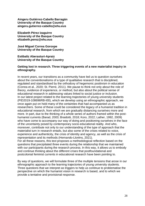**Aingeru Gutiérrez-Cabello Barragán University of the Basque Country aingeru.gutierrez-cabello@ehu.eus**

**Elizabeth Pérez Izaguirre University of the Basque Country elizabeth.perez@ehu.eus**

**José Miguel Correa Gorospe University of the Basque Country**

**Estibaliz Aberasturi-Apraiz University of the Basque Country**

#### **Getting lost in research. Three triggering events of a new materialist inquiry in ethnography.**

In recent years, our transitions as a community have led us to question ourselves about the conventionalisms of a type of qualitative research that is disciplined, regulated and standardised by the orthodoxy of hegemonic positivism in education (Correa et al., 2020; St. Pierre, 2011). We pause to think not only about the role of theory, evidence of experience, or method, but also about the political sense of educational research in addressing values linked to social justice or inclusion. In our latest project related to the learning trajectories of young university students (PID2019-108696RB-I00), which we develop using an ethnographic approach, we once again put on hold many of the certainties that had accompanied us as researchers. Some of these could be considered the legacy of a humanist tradition in educational research, from which we are gradually distancing ourselves more and more. In part, due to the thinking of a whole series of authors framed within the posthumanist currents (Barad, 2003; Braidotti, 2018; Koro, 2022; Lather, 1992, 2009) who have come to accompany our way of doing and positioning ourselves in the face of the uncertainty posed by contemporary socio-educational reality. And who, moreover, contribute not only to our understanding of the type of approach that the materialist turn in research entails, but also some of the crises related to voice, experience and authenticity, the crisis of identity and agency, as well as the crisis of representation and its methods (Hernando-Lloréns, 2021).

For all these reasons, this text proposes a methodological reflection based on the questions that precipitated three events during the relationship that we maintained with our participants during the research process. In this way, it allows us to embody and continue thinking about the different crises that postfoundational and postcolonial feminist currents in educational research have been pointing to.

By way of questions, we will formulate three of the multiple tensions that arose in our ethnographic approach to the learning trajectories of young university students. Three questions that we interpret as triggers to help us continue to problematise the perspective on which the humanist vision in research is based, and to which we provide a tentative and provisional response.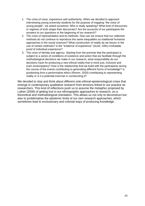- 1. The crisis of voice, experience and authenticity. When we decided to approach interviewing young university students for the purpose of mapping "the voice of young people", we asked ourselves: Who is really speaking? What kind of discourses or regimes of truth shape their discourses? Are the accounts of our participants the answers to our questions or the beginning of our research?
- 2. The crisis of representation and its methods. How can we ensure that our collection methods do not continue to reproduce the same inequalities as traditional humanist approaches in the social sciences? What construction of reality do we favour in the use of certain methods? Is the "evidence of experience" (Scott, 1991) irrefutable proof of individual experience?
- 3. The crisis of identity and agency. Starting from the premise that the participant is subject to a series of conditions of existence and action that we facilitate through the methodological decisions we make in our research, what responsibility do our decisions have for producing a new ethical reality that is more just, inclusive and even emancipatory? How is the relationship that we build with the participants during the course of the events contributing to generating different forms of knowledge? Is positioning from a performative ethics (Romm, 2020) contributing to representing reality or is it a potential exercise in constructing it?

We decided to stop and think about different onto-ethical-epistemological crises that emerge in contemporary qualitative research from tensions linked to our practice as researchers. This kind of reflections push us to assume the metaphor proposed by Lather (2009) of getting lost in our ethnographic approaches to research, as a theoretical and methodological orientation. This allows us not only to deconstruct but also to problematise the epistemic limits of our own research approaches, which sometimes lead to exclusionary and colonial ways of producing knowledge.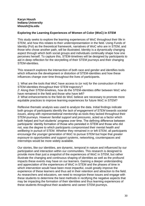# **Karyn Housh Indiana University khoush@iu.edu**

# **Exploring the Learning Experiences of Women of Color (WoC) in STEM**

This study seeks to explore the learning experiences of WoC throughout their life in STEM, and how this relates to their underrepresentation in the field. Using Funds of Identity (FoI) as the theoretical framework, narratives of WoC who are in STEM, and those who chose another path, will be illustrated. Identity is a dynamically changing aspect through which both social groups and individuals continually shape how one perceives herself. To capture this, STEM-timelines will be designed by participants to aid in deep reflection for the storytelling of their STEM journeys and their changing STEM-identities.

This research explores the intersection of both race and gender and identifies tools which influence the development or distortion of STEM-identities and how these influences change over time throughout the lives of participants.

1: What are the tools that WoC have access to (or not) for the construction of their STEM-identities throughout their STEM trajectory?

*2*: Along their STEM-timelines, how do the STEM-identities differ between WoC who have remained in the field and those who have left?

*3*: What enhancements to the field do WoC believe are necessary to promote more equitable practices to improve learning experiences for future WoC in STEM?

Reflexive thematic analysis was used to analyze the data. Initial findings indicate both groups of participants identify the *lack of engagement of STEM towards societal issues*, along with *representational mentorship* as tools they lacked throughout their STEM-journeys. However *familial support and pressures*, acted as a factor which both helped and hurt students' progress over time. The defining difference between participants' identity formation of those who persisted in STEM and those who did not, was the degree to which participants *compromised their mental health and wellbeing* in pursuit of STEM. Whether they remained in or left STEM, all participants encourage the younger generation of WoC to pursue STEM but hope that *greater exposure to opportunities and support systems*, networking, counterspaces and internships would be more widely available.

Our stories, like our identities, are dynamic, temporal in nature and influenced by our participation and interaction within our communities. This research is designed to provide more than just a snapshot of the experiences of WoC in STEM, but rather illustrate the changing and continuous shaping of identities as well as the profound impacts these events may have on our learners. Gaining a deeper understanding and appreciation of the experiences of WoC in STEM and the phases of time in which intervention would have been most impactful, could greatly improve the experience of these learners and thus aid in their retention and attraction to the field. As researchers and educators, we need to recognize these issues and engage with these students to determine the best methods in rectifying the negative aspects that may be impacting the formation of their identities and thus learning experiences of these students throughout their academic and career STEM-journeys.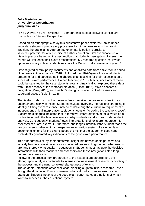## **Julie Marie Isager University of Copenhagen jmi@hum.ku.dk**

"If You Waver, You're Tarnished" – Ethnographic studies following Danish Oral Exams from a Student Perspective

Based on an ethnographic study this substantive paper explores Danish upper secondary students' preparatory processes for high-stakes exams that are rich in tradition: the oral exams. Appropriate exam participation is crucial to students' potential for a free choice of further education. Oral examination is a dialogic practice based on the assumption that students' perception of assessment criteria will influence their exam presentations. My research question is: How do upper secondary school students navigate the Danish oral examination system?

I investigated central policy documents and analyzed data from a five-month period of fieldwork in two schools in 2018. I followed four 18-20-year-old case-students preparing for and participating in eight oral exams asking for their reflections on a successful exam performance. I joined teaching in 10 subjects, since any of these could be sampled for the case-students' exams. Analytically, I explored these data with Bitzer's theory of the rhetorical situation (Bitzer, 1968), Moje's concept of navigation (Moje, 2013), and Bakthin's dialogical concepts of addressees and superaddressees (Bakhtin, 1986).

The fieldwork shows how the case-students perceive the oral exam situation as uncertain and highly complex. Students navigate everyday interactions struggling to identify a fitting exam response. Instead of delivering the curriculum requirement of independent critical interpretations, students focus on "cracking the teacher's code". Classroom dialogues indicated that "alternative" interpretations of texts would be a confrontation with the teacher-assessor, why students withdraw from independent analysis. Consequently, students' 'own' interpretations of texts are not present for assessment at oral exams. Furthermore, challenges intensify if the student reads the law documents believing in a transparent examination system. Relying on law documents' criteria for the exams poses the risk that the student misses nanocontextually generated key indications of the good exam performance.

This ethnographic study contributes with insight into how students perceive and actively handle exam situations as a continued process of figuring out what exams are, and thereby what quality in education is. Students must navigate the decisive interactions with their teachers and assessors and these navigations start long before the exam starts.

Following the process from preparation to the actual exam participation, the ethnographic analyses contribute to international assessment research by pointing to the process and the nano-contexual situatedness of exams.

The students' intentions of teacher-code-cracking ought to initiate research - even though the dominating Danish-German didactical tradition leaves exams little attention. Students' notions of the good exam performance are notions of what it takes to succeed in the educational system.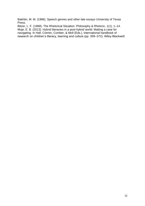Bakhtin, M. M. (1986). Speech genres and other late essays University of Texas Press.

Bitzer, L. F. (1968). The Rhetorical Situation. Philosophy & Rhetoric, 1(1), 1–14. Moje, E. B. (2013). Hybrid literacies in a post-hybrid world: Making a case for navigating. In Hall, Cremin, Comber, & Moll (Eds.), International handbook of research on children's literacy, learning and culture (pp. 359–372). Wiley-Blackwell.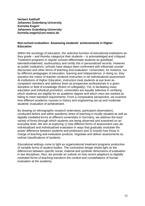**Herbert Kalthoff Johannes Gutenberg University Kornelia Engert Johannes Gutenberg University kornelia.engert@uni-mainz.de**

## **Non-school evaluation: Assessing students' achievements in Higher Education**

Within the sociology of education, the selective function of educational institutions as they grade – and thereby categorize their students – is acknowledged and critiqued. Treatment programs in regular schools differentiate students as good/bad, talented/untalented, studious/lazy and certify this in personalized records. However, as public institutions, schools have always been confronted with influential counter discourses and other forms of teaching and evaluation. Universities, for instance, run by different pedagogies of education, learning and independence; in doing so, they question the notion of teacher-centered instruction or de-individualized assessment. At institutions of Higher Education, instructors treat students at eye level as competent members and address them as prospective professionals in a given discipline or field of knowledge (fiction of collegiality). Yet, in facilitating mass education and individual promotion, universities are equally selective in certifying which students are eligible for an academic degree and which ones are marked as failing to meet standard requirements. From a comparative perspective, we examine how different academic courses in history and engineering set-up and moderate students' evaluation of achievement.

By drawing on ethnographic research (interviews, participant observation), conducted before and within pandemic times of teaching in locally situated as well as digitally mediated forms at different universities in Germany, we address the lived variety of forms through which students are being observed and examined on an everyday level. We aim at exploring 1) how different forms of assessment vary deindividualized and individualized evaluation in ways that gradually modulate the power difference between students and professors and 2) exactly how those in charge of teaching and evaluation produce, negotiate and deliver assessments as ordinal classifications of students.

Educational settings come to light as organizational treatment programs productive of variable forms of student bodies. The contrastive design sheds light on the differences between specific social, material and symbolic dimensions of evaluation in two disciplines. Also, we provide an outlook on how recent adaptions to digitally mediated forms of teaching transform the context and constellations of human evaluation at the academy.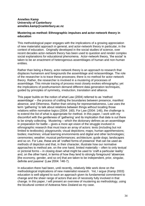## **Annelies Kamp University of Canterbury annelies.kamp@canterbury.ac.nz**

## **Mustering as method: Ethnographic impulses and actor-network theory in education**

This methodological paper engages with the implications of a growing appreciation of new materialist approach in general, and actor-network theory in particular, in the context of education. Originally developed in the social studies of science, over recent decades actor-network theory has been used to question and render complex social explanations for educational phenomena. Actor-network theory, 'the social' is taken to be an enactment of heterogenous assemblages of human and non-human entities.

Rather than being a theory, actor-network theory is an approach to research that displaces humanism and foregrounds the assemblage and re/assemblage. The role of the researcher is to trace these processes; there is no method for actor-network theory. Rather, the researcher is involved in a mustering of processes of assemblage. This minute tracing of process most closely evokes ethnography; yet the implications of posthumanism demand different data generation techniques, guided by principles of symmetry, irreduction, translation and alliance.

This paper builds on the notion of what Law (2004) referred to as 'method assemblage' – the process of crafting the boundaries between presence, manifest absence, and Otherness. Rather than striving for representativeness, Law uses the term 'gathering' to talk about relations between things without locating those relations within normative logics (2004: 160). For Law (2004: 146), the challenge is to extend the list of what is appropriate for method. In this paper, I work with my discomfort with the gentleness of 'gathering' and its implication that data is out there to be simply collecting. Mustering – which the dictionary defines as an assemblage in preparation for battle – gives a more apt vision of the struggle involved in ethnographic research that must trace an array of actors: texts (including but not limited to textbooks); playgrounds; visual depictions; maps; human apprehensions; bodies; machines; virtual learning environments and digital and other technologies; ceremonies; weather; musical performances; architecture; guide dogs; landscapes and so on. For Law, these are all 'crafted forms of presence' that can be used as methods of depiction and that, in their character, illustrate how our normative approaches to method are, on the one hand, limited materially – often to only textual or pictorial forms – in closing down what might be used to 'craft a particular reality' and, on the other hand, in terms of how they tend to strongly foreground 'absences [the economy, gender, and so on] that are taken to be independent, prior, singular, definite and passive' (Law 2004: 146-7).

In education there had been, until recently, relatively little work done on the methodological implications of new materialist research. Yet, I argue (Kamp 2003) education is well-aligned to such an approach given its fundamental commitment to change and the sheer range of actors that are of necessity fully involved in that change. In this paper, I will present an overview of mustering as methodology, using the bicultural context of Aotearoa New Zealand as my case.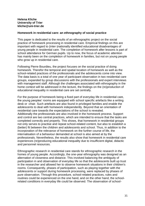# **Helena Kliche University of Trier kliche@uni-trier.de**

# **Homework in residential care: an ethnography of social practice**

This paper is dedicated to the results of an ethnographic project on the social practice of homework processing in residential care. Empirical findings on this are important with regard to (inter-)nationally identified educational disadvantages of young people in residential care. The completion of homework after lessons is part of school attendance for German pupils. Up to now, the focus of academic attention has mainly been on the completion of homework in families, but not on young people who grow up in residential care.

Following Pierre Bourdieu, the project focuses on the social practice of doing homework. Therefor the temporal and spatial location of homework as well as the school-related practices of the professionals and the adolescents come into view. The data basis is a total of one year of participant observation in two residential care groups, expanded by group discussions with the professionals and expert interviews with management staff. Although the challenges associated with ethnography in the home context will be addressed in the lecture, the findings on the (re)production of educational inequality in residential care are set centrally.

For the purpose of homework being a fixed part of everyday life in residential care, the young peoples' rooms are equipped with school specific artefacts like a writing desk or -chair. Such artefacts are also found in privileged families and enable the adolescents to deal with homework independently. Beyond that an orientation of residential care towards the expectations of the school is revealed. Additionally the professionals are also involved in the homework process. Support and control are two central practices, which are intended to ensure that the tasks are completed correctly and properly. This shows, that homework in residential groups not only serves to practise and repeat school-related content, but also to establish a (better) fit between the children and adolescents and school. Thus, in addition to the incorporation of the relevance of homework on the further course of life, the internalisation of a behaviour demanded at school is also aimed at by the professionals. Nevertheless, the results also show that homework in residential care experiences (re)producing educational inequality due to insufficient digital, didactic and personnel resources.

Ethnographic research in residential care stands for ethnographic research in the homes of young people. Accordingly, the one-year ethnography was designed as an alternation of closeness and distance. This involved balancing the ambiguity of participation in and observation of everyday life so that the adolescents built up trust in the researcher and allowed her to observe homework situations in their children's rooms. Consequently, phases of participation, such as playing together with the adolescents or support during homework processing, were replaced by phases of pure observation. Through this procedure, school-related practices, rules and routines could be experienced on the one hand, and on the other hand, the schoolrelated conditions in everyday life could be observed. The observation of school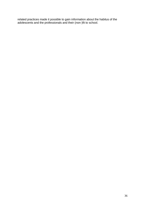related practices made it possible to gain information about the habitus of the adolescents and the professionals and their (non-)fit to school.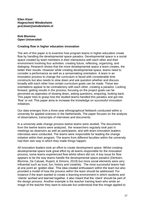**Ellen Kloet Hogeschool Windesheim pcd.kloet@windesheim.nl**

#### **Rob Blomme Open Universiteit**

#### **Creating flow in higher education innovation**

The aim of this paper is to examine how program teams in higher education create flow by handling the developmental space paradox. Developmental space is a social space created by team members in their interactions with each other and their environment involving four activities: creating future, reflecting, organizing, and dialoging. Research shows that the more developmental space a team creates, the better their results. However while creating developmental space, teams need to consider a performance as well as a sensemaking orientation. A team in an innovation process to change the curriculum is faced with considerable time constructs but also needs to slow down and ask question whether and discuss broadly with each other how certain curriculum goals can be made. These two orientations appear to be contradictory with each other, creating a paradox. Looking forward, getting results in the process, focusing on the project goals can be perceived as opposites of slowing down, asking questions, enquiring, looking back. This paper tries to grasp how the studied teams handled this paradox and got into 'flow' or not. This paper aims to increase the knowledge on successful innovation initiatives.

Our data emerges from a three-year ethnographical fieldwork conducted within a university for applied sciences in the Netherlands. The paper focuses on the analysis of observations, transcripts of interviews and documents.

In a university wide change process twelve teams were studied. The documents from the twelve teams were analyzed, the researchers regularly took part in meetings as observers as well as participants, and with team innovation leaders interviews were conducted. The teams were responsible for leading the change initiative within their program. The teams from different faculties within the university had their own way in which they made things happen.

All innovation leaders took an effort to create development space. Whilst creating developmental space took great effort by all teams responsible for the innovation process, some teams experienced flow whilst others did not. A key issue for flow appears to be the way teams handle the developmental space paradox (Derksen, Blomme, De Caluwe, Rupert, & Simons, 2019) but more social elements were very influential such as trust, fun, history and creativity. The most successful teams had at one point an 'golden idea'. This idea created enthusiasm within the team but also provided a model of how the process within the team should be addressed. For instance if the team wanted to create a learning environment in which students and 'clients' worked and learned together, it also meant that the 'client' should be part of the design process. Another example is the teacher training team who wrote an image of the teacher they want to educate but understood that this image applied to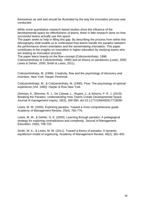themselves as well and should be illustrated by the way the innovation process was conducted.

While some quantitative research based studies show the influence of the developmental space for effectfulness of teams, there is little research done on how successful teams actually use this space.

The paper seeks to help in filling this gap. By describing the process from within this ethnography shall enable us to understand how teams handle the paradox between the performance driven orientation and the sensemaking orientation. This paper contributes to the insights on innovation in higher education by studying teams who are leading an innovation process.

The paper leans heavily on the flow-concept (Csikszentmihalyi, 1996; Csikszentmihalyi & Csikzentmihaly, 1990) and on theory on paradoxes (Lewis, 2000; Lewis & Dehler, 2000; Smith & Lewis, 2011).

Csikszentmihalyi, M. (1996). Creativity, flow and the psychology of discovery and invention. New York: Harper Perennial.

Csikszentmihalyi, M., & Csikzentmihaly, M. (1990). Flow: The psychology of optimal experience (Vol. 1990): Harper & Row New York.

Derksen, K., Blomme, R. J., De Caluwe, L., Rupert, J., & Simons, P. R. J. (2019). Breaking the Paradox: Understanding How Teams Create Developmental Space. Journal of management inquiry, 28(3), 366-380. doi:10.1177/1056492617718090

Lewis, M. W. (2000). Exploring paradox: Toward a more comprehensive guide. Academy of Management Review, 25(4), 760-776.

Lewis, M. W., & Dehler, G. E. (2000). Learning through paradox: A pedagogical strategy for exploring contradictions and complexity. Journal of Management Education, 24(6), 708-725.

Smith, W. K., & Lewis, M. W. (2011). Toward a theory of paradox: A dynamic equilibrium model of organizing. Academy of Management Review, 36(2), 381-403.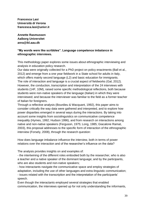**Francesca Lasi Università di Verona francesca.lasi@univr.it**

**Annette Rasmussen Aalborg Universitet anra@ikl.aau.dk**

# **"My words were like scribbles". Language competence imbalance in ethnographic interviews.**

This methodology paper explores some issues about ethnographic interviewing and analysis in education policy research.

Our data were originally collected for a PhD project on policy enactments (Ball et al., 2012) and emerge from a one year fieldwork in a State school for adults in Italy, which offers mainly second language (L2) and basic education for immigrants. The role of interaction and language is a crucial aspect of fieldworks (Gal, 2012). However, the conduction, transcription and interpretation of the 24 interviews with students (14F, 10M), raised some specific methodological reflections, both because students were non-native speakers of the language (Italian) in which they were interviewed; and because the interviewer was familiar to the field as a former teacher of Italian for foreigners.

Through a reflective analysis (Bourdieu & Wacquant, 1992), this paper aims to consider critically the way data were gathered and interpreted, and to explore how power disparities emerged in several ways during the interactions. By taking into account some insights from sociolinguistics on communicative competence inequality (Hymes, 1992; Hudson 1996), and from research on interactions among native and non-native speakers (Ferguson, 1975; Long, 1985; Giacalone Ramat, 2003), this proposal addresses to the specific form of interaction of the ethnographic interview (Forsely, 2008), through the research question:

How does language imbalance influence the interview, both in terms of power relations over the interaction and of the researcher's influence on the data?

The analysis provides insights on and examples of:

- the intertwining of the different roles embodied both by the researcher, who is also a teacher and a native speaker of the dominant language; and by the participants, who are also students and non-native speakers;

- how interactants navigate the communicative space and employ strategies of adaptation, including the use of other languages and extra-linguistic communication; - issues related with the transcription and the interpretation of the participants' speech.

Even though the interactants employed several strategies that enabled communication, the interviews opened up for not only understanding the informants,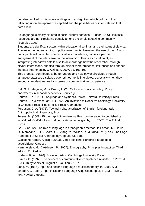but also resulted in misunderstandings and ambiguities, which call for critical reflecting upon the approaches applied and the possibilities of interpretation that data allow.

As language is strictly situated in socio-cultural contexts (Hudson 1996), linguistic resources are not circulating equally among the whole speaking community (Bourdieu 1991).

Students are significant actors within educational settings, and their point of view can illuminate the understanding of policy enactments. However, the use of the L2 with participants with a limited communicative competence, implies a peculiar engagement of the interviewer in the interaction. This is a crucial point, as interpreting interviews entails also to acknowledge how the researcher, through his/her interactions, but also through his/her mere presence, influences and shapes the data (Hammersley & Atkinson, 2007, pp. 101-102).

This proposal contributes to better understand how power circulates through language practices displayed over ethnographic interviews, especially when they embed an evident inequality in terms of communicative competence.

Ball, S. J., Maguire, M., & Braun, A. (2012). How schools do policy: Policy enactments in secondary schools. Routledge.

Bourdieu, P. (1991). Language and Symbolic Power. Harvard University Press. Bourdieu, P. & Wacquant, L. (1992). An invitation to Reflexive Sociology. University of Chicago Press, Illinois/Polity Press, Cambridge.

Ferguson, C. A. (1975). Toward a characterization of English foreigner talk. Anthropological Linguistics, 1-14.

Forsey, M. (2008). Ethnographic interviewing: From conversation to published text. In Walford, G. (Ed.). How to do educational ethnography, pp. 57-75. The Tufnell Press.

Gal, S. (2012). The role of language in ethnographic method. In Fardon, R., Harris, O., Marchand, T. H., Shore, C., Strang, V., Wilson, R., & Nuttall, M. (Eds.). The Sage Handbook of Social Anthropology, pp. 38-53. Sage.

Giacalone Ramat, A. (Ed.) (2003). Verso l'Italiano. Percorsi e strategie di acquisizione. Carocci.

Hammersley, M., & Atkinson, P. (2007). Ethnography: Principles in practice. Third edition. Routledge.

Hudson, R. A. (1996). Sociolinguistics. Cambridge University Press.

Hymes, D. (1992). The concept of communicative competence revisited. In Pütz, M. (Ed.). Thirty years of Linguistic Evolution, 31-57.

Long, M. (1985). Input and second language acquisition theory. In Gass, S. & Madden, C. (Eds.), Input in Second Language Acquisition, pp. 377–393. Rowley, MA: Newbury House.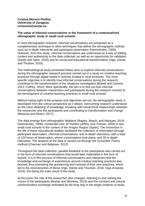## **Cristina Moreno Pinillos University of Zaragoza crmoreno@unizar.es**

#### **The value of informal conversations in the framework of a contextualised ethnographic study in small rural schools**

In most ethnographic research, informal conversations are presented as a complementary technique to other techniques that define the ethnographic method, such as in-depth interviews and participant observation (Hammersley, 2006). However, from this study, informal conversations are understood as a way of adding context and authenticity to the data collected, as well as an opportunity for validation (Swain and Spire, 2020) and for social and educational transformation (Vigo, Dieste and Thuston, 2016).

The methodological study presented below aims to explore informal conversations during the ethnographic research process carried out in a study on creative teaching practices through digital media in schools located in rural territories. The more specific objective is to identify how informal conversations during the research contribute to the transformation of the situations investigated (Brandt and Carlone, 2012; Coffrey, 2010). More specifically, the aim is to find out how informal conversations between researchers and participants during the research connect to the development of creative teaching practices in small rural schools.

Without losing sight of the purpose and objectives set out, the ethnographic study is developed from the critical perspective as it allows: overcoming research understood as the mere obtaining of knowledge, breaking with hierarchical relationships between the researcher and the participants and contributing to transformation and change (Maisuria and Beach, 2017).

The data emerge from ethnographic fieldwork (Bagley, Beach, and Marques, 2018; Hammersley, 2006), conducted over 10 months (Jeffrey and Troman, 2004) in two small rural schools in the context of the Aragon Region (Spain). The immersion in the life of these educational realities facilitated the collection of information through participant observation, informal conversations, and in-depth interviews, with a total of 120 hours of observation, where conversations took place, and 30 in-depth interviews. The analysis of the data is carried out through the Grounded Theory method (Charmaz and Belgrave, 2012).

Throughout the data collection, parallel feedback to the participants was carried out in the form of informal conversations that would later materialise in the form of reports. It is in this process of informal conversations and interaction that the knowledge and exchange of experiences around creative teaching practices was favored, thus promoting the questioning and contrast of their own practices, which led to the reconstruction of these (Vigo, Dieste and Thurston, 2016; Vigo-Arrazola, 2019), this being the main result of the study.

At this point, the role of the researcher also changes, listening to and valuing the voices of the participants (Boylan and Woolsey, 2015) and the constant and natural communicative exchange motivated by the long stay in the target contexts of study,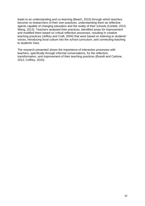leads to an understanding and co-learning (Beach, 2010) through which teachers become co-researchers of their own practices, understanding them as reflective agents capable of changing education and the reality of their schools (Cerletti, 2013; Wang, 2013). Teachers analysed their practices, identified areas for improvement and modified them based on critical reflection processes, resulting in creative teaching practices (Jeffrey and Craft, 2004) that were based on listening to students' voices, introducing local culture into the school curriculum, and connecting teaching to students' lives.

The research presented shows the importance of interaction processes with teachers, specifically through informal conversations, for the reflection, transformation, and improvement of their teaching practices (Brandt and Carlone, 2012; Coffrey, 2010).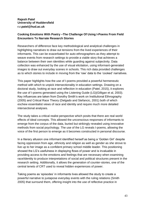# **Rajesh Patel University of Huddersfield r.r.patel@hud.ac.uk**

# **Cooking Emotions With Poetry –The Challenge Of Using I-Poems From Field Encounters To Narrate Research Stories**

Researchers of difference face key methodological and analytical challenges in highlighting narratives to draw out tensions from the lived experiences of their informants. This can be exacerbated for auto-ethnographers as they attempt to weave events from research settings to provide a viable story that achieves a balance between their own identities while guarding against subjectivity. Data collection was enhanced by the use of visual elicitation, using informant-generated images to draw out everyday scenes in schools. This rich data provided challenges as to which stories to include in moving from the 'raw' data to the 'cooked' narratives.

This paper highlights how the use of I-poems provided a powerful hermeneutic method with which to unpick intersectionality in education settings. Drawing on a doctoral study, looking at race and reflection in education (Patel, 2015), it explores the use of I-poems generated using the Listening Guide (LG)(Gilligan et al, 2003). Key influences are taken from Dorothy Smith's work on Institutional Ethnography (2005) and Critical Race Theory (Delgado and Stefancic, 2001) both of which eschew essentialist views of race and identity and require much more detailed intersectional analyses.

The study takes a critical realist perspective which posits that there are real world effects of ideal concepts. This allowed the unconscious responses of informants to emerge from the corpus of the data, buried but strikingly revealed using innovative methods from social psychology. The use of the LG reveals I-poems, allowing the voice of the first person to emerge as it becomes constructed in personal discourse.

In a literary allusion one informant identified herself as being a 'Golden Girl' despite facing oppression from age, ethnicity and religion as well as gender as she strove to live up to her image as a confident primary school middle leader. This positioning showed the LG's usefulness in displaying flows of power and is invaluable in providing access to the emotions and feelings that are necessary when examining race/identity to produce interpretations of social and political structures present in the research setting. Additionally, it allows the generation of counter-stories, one of the central tenets of CRT used to reveal hidden experiences of power.

Taking poems as 'episodes' in informants lives allowed the study to create a powerful narrative to juxtapose everyday events with the ruling relations (Smith 2005) that surround them, offering insight into the use of reflective practice in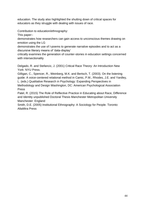education. The study also highlighted the shutting down of critical spaces for educators as they struggle with dealing with issues of race.

Contribution to education/ethnography:

This paper:-

demonstrates how researchers can gain access to unconscious themes drawing on emotion using the LG

demonstrates the use of I-poems to generate narrative episodes and to act as a discursive literary means of 'data-display'

critically examines the generation of counter-stories in education settings concerned with intersectionality

Delgado, R. and Stefancic, J. (2001) Critical Race Theory: An Introduction New York: NYU Press.

Gilligan, C., Spencer, R., Weinberg, M.K. and Bertsch, T. (2003). On the listening guide: A voice-centered relational method in Camic, P.M., Rhodes, J.E. and Yardley, L. (eds.) Qualitative Research in Psychology: Expanding Perspectives in Methodology and Design Washington, DC: American Psychological Association Press

Patel, R. (2015) The Role of Reflective Practice in Educating about Race, Difference and Identity unpublished Doctoral Thesis Manchester Metropolitan University Manchester: England

Smith, D.E. (2005) Institutional Ethnography: A Sociology for People. Toronto: AltaMira Press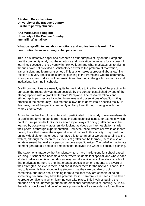**Elizabeth Pérez Izaguirre University of the Basque Country Elizabeth.perez@ehu.eus**

**Ana María Liñero Reglero University of the Basque Country anmariline@gmail.com**

## **What can graffiti tell us about emotions and motivation in learning? A contribution from an ethnographic perspective**

This is a substantive paper and presents an ethnographic study on the Pamplona graffiti community analyzing the emotions and motivation necessary for successful learning. Because of the diversity in how we learn and what motivates us, totalizing theories have not provided a satisfactory answer to the problem of motivation, transmission, and learning at school. This article makes a proposal about learning in relation to a very specific topic: graffiti painting in the Pamplona writers' community. It compares the conditions of non-institutional learning in the graffiti community and institutional learning in schools.

Graffiti communities are usually quite hermetic due to the illegality of the practice. In our case, the research was made possible by the contact established by one of the ethnographers with a graffiti writer from Pamplona. The research follows and ethnographic perspective including interviews and observations of graffiti-writing practice in the community. This method allows us to delve into a specific reality, in this case, that of the graffiti community of Pamplona, through dialogue with the writers themselves.

According to the Pamplona writers who participated in this study, there are elements of graffiti that anyone can learn. These include technical issues, for example, which paint to use, particular tricks, or a certain style. Ways of doing graffiti can also be learned by observing what others do, looking at videos on Internet platforms, with their peers, or through experimentation. However, these writers believe in an innate driving force that makes them special when it comes to this activity. They hold that an individual either has or does not have this force. In other words, according to the writers, although the technical elements of graffiti can be learned, there is also an innate element that makes a person become a graffiti writer. The belief in that innate element generates a series of emotions that motivate the writer to continue painting.

The statements made by the Pamplona writers have implications for school-based learning. A school can become a place where students feel special, and where each student believes in his or her idiosyncrasy and distinctiveness. Therefore, a school that motivates learners is one that creates spaces in which students are aware of their strengths, believe in them, and can discover them for themselves. That is, the key to learning is less about telling students that they are capable of doing something, and more about helping them to feel that they are capable of doing something because they have the potential for it. Therefore, care needs to be taken to create conditions in which learning can take place. This involves putting the emphasis not on knowledge but on the emotional components of learning. All in all, the article concludes that belief in one's potential is of key importance for motivating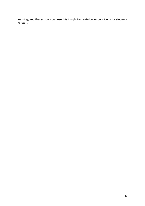learning, and that schools can use this insight to create better conditions for students to learn.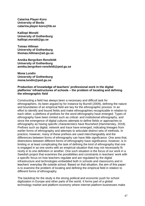**Catarina Player-Koro University of Borås catarina.player-koro@hb.se**

**Kalliopi Moraiti University of Gothenburg kalliopi.moraiti@gu.se**

**Tomas Hillman University of Gothenburg thomas.hillman@ait.gu.se**

**Annika Bergviken Rensfeldt University of Gothenburg [annika.bergviken-rensfeldt@ped.gu.se](mailto:annika.bergviken-rensfeldt@ped.gu.se)**

**Mona Lundin University of Gothenburg [mona.lundin@ped.gu.se](mailto:mona.lundin@ped.gu.se)**

#### **Production of knowledge of teachers' professional work in the digital platforms' infrastructures of schools – the problem of locating and defining the ethnographic field**

Constructing a field has always been a necessary and difficult task for ethnographers. As been argued by for instance by Burrell (2009), defining the nature and boundaries of an empirical field are key for the ethnographic process. In an effort to identify and bound fields and make ethnographies recognizable in relation to each other, a plethora of prefixes for the word ethnography have emerged. Types of ethnography have been minted such as critical- and institutional ethnography, and since the emergence of digital cultures attempts to define fields or approaches to ethnography as having specific characteristics have flourished (Hammersley, 2018). Prefixes such as digital, network and trace have emerged, indicating lineages from earlier forms of ethnography and attempts to articulate distinct sets of methods. In practice, however, many of these prefixes are used interchangeably and the differences between forms of ethnography can have little significance. One area that, distinctions between different forms of ethnography have significance, however, is in limiting or at least complicating the task of defining the kind of ethnography that one is engaged in as one works with an empirical situation that may not necessarily fit nicely in to one definition or another. One such situation is the focus of our work in a Swedish project that examines the possibilities and constraints in teachers' work with a specific focus on how teachers regulate and are regulated by the digital infrastructure and technologies embedded both in schools and classrooms and in teachers' everyday life outside school. Based on that situation, the aim of this paper is to examine the problem of locating and defining the empirical field in relation to different forms of ethnography.

The backdrop for the study is the strong political and economic push for school digitization in Europe and other parts of the world. It forms part of a global technology market and platform economy where internet platform businesses make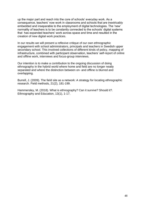up the major part and reach into the core of schools' everyday work. As a consequence, teachers' now work in classrooms and schools that are inextricably embedded and inseparable to the employment of digital technologies. The 'new' normality of teachers is to be constantly connected to the schools' digital systems that has expanded teachers' work across space and time and resulted in the creation of new digital work practices.

In our results we will present a reflexive critique of our own ethnographic engagement with school administrators, principals and teachers in Swedish upper secondary school. This involved collections of different kinds of policy, mapping of infrastructure, combined with participant observation, teachers' self-report of online and offline work, interviews and focus-group interviews.

Our intention is to make a contribution to the ongoing discussion of doing ethnography in the hybrid world where home and field are no longer neatly separated and where the distinction between on- and offline is blurred and overlapping.

Burrell, J. (2009). The field site as a network: A strategy for locating ethnographic research. Field methods, 21(2), 181-199.

Hammersley, M. (2018). What is ethnography? Can it survive? Should it?. Ethnography and Education, 13(1), 1-17.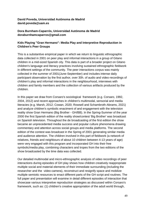# **David Poveda, Universidad Autónoma de Madrid david.poveda@uam.es**

# **Dora Burnham-Caparrós, Universidad Autónoma de Madrid doraburnhamcaparros@gmail.com**

# **Kids Playing "Gran Hermano": Media Play and Interpretive Reproduction in Children's Peer Groups**

This is a substantive empirical paper in which we return to linguistic ethnographic data collected in 2001 on peer play and informal interactions in a group of Gitano children in a mid-sized Spanish city. This data is part of a broader project on Gitano children's language and literacy practices involving sustained ethnographic fieldwork in different settings of the community. The peer interactions corpus was mainly collected in the summer of 2001(June-September) and includes intense daily participant observation by the first author, over 30h. of audio and video-recordings of children's play and informal interactions in the neighbourhood, interviews with children and family members and the collection of various artifacts produced by the children.

In this paper we draw from Corsaro's sociological framework (e.g. Corsaro, 1992, 2004, 2012) and recent approaches in children's multimodal, sensorial and media literacies (e.g. Marsh, 2012; Cowan, 2020; Rowsell and Schambroth-Abrams, 2021) and analyze children's symbolic enactment of and engagement with the television reality show Gran Hermano (Big Brother - GH/BB). In the Spring-Summer of the year 2000 the first Spanish edition of the reality show/contest 'Big Brother' was broadcast on Spanish television. Throughout the de broadcasting of the first edition the show became an unprecedented media success and popular culture phenomena drawing commentary and attention across social groups and media platforms. The second edition of the contest was broadcast in the Spring of 2001 generating similar media and audience attention. The children involved in this part of fieldwork (a network of relatives, friends and neighbours of about 10 children between 4-13 years of age) were very engaged with this program and incorporated GH into their free symbolic/media play, combining characters and tropes from the two editions of the show broadcasted by the time data was collected.

Our detailed multimodal and micro-ethnographic analysis of video recordings of peer interactions during episodes of GH play shows how children creatively reappropriate multiple social and material elements of their immediate surrounding (including the researcher and the video-camera), reconstruct and resignify space and mobilize multiple semiotic resources to enact different parts of the GH script and routines. The full paper and presentation will examine in detail different episodes of interaction that showcase various interpretive reproduction strategies as discussed within Corsaro's framework, such as: (1) children's creative appropriation of the adult world through,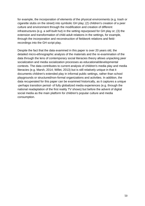for example, the incorporation of elements of the physical environments (e.g. trash or cigarette stubs on the street) into symbolic GH play; (2) children's creation of a peer culture and environment through the modification and creation of different infrastructures (e.g. a self-built hut) in the setting repurposed for GH play or; (3) the extension and transformation of child-adult relations in the settings, for example, through the incorporation and reconstruction of fieldwork relations and fieldrecordings into the GH script play.

Despite the fact that the data examined in this paper is over 20 years old, the detailed micro-ethnographic analysis of the materials and the re-examination of the data through the lens of contemporary social literacies theory allows unpacking peer socialization and media socialization processes as educational/developmental contexts. The data contributes to current analysis of children's media play and media literacies (e.g. Marsh, 2014; Willet, 2013) but is still relatively unique in that it documents children's extended play in informal public settings, rather than school playgrounds or structured/non-formal organizations and activities. In addition, the data recuperated for this paper can be examined historically, as it captures a unique -perhaps transition period- of fully globalized media experiences (e.g. through the national readaptation of the first reality TV shows) but before the advent of digital social media as the main platform for children's popular culture and media consumption.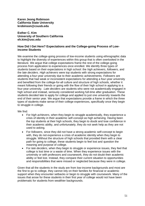## **Karen Jeong Robinson California State University krobinson@csusb.edu**

#### **Esther C. Kim University of Southern California eh.kim@usc.edu**

## **How Did I Get Here? Expectations and the College-going Process of Lowincome Students**

We examine the college-going process of low-income students using ethnographic data to highlight the diversity of experiences within this group that is often overlooked in the literature. We argue that college expectations frame the rest of the college-going process from application to experiences once enrolled. We identify three types of students based on their expectations in high school: the *high achievers*, *followers*, and the *late deciders*. *High achievers* were top students with strong expectations for attending a four-year university due to their academic achievements. *Followers* are students that had weak or inconsistent expectations for attending a four-year university and benefited from the college-for-all culture and structure of high schools, whether it meant following their friends or going with the flow of their high school in applying to a four-year university. *Late deciders* are students who were not academically engaged in high school and instead, seriously considered working full-time after graduation. These students decided late to apply for college and applied to just one university towards the end of their senior year. We argue that expectations provide a frame in which the three types of students make sense of their college experiences, specifically once they begin to struggle in college.

We find:

- For *high achievers*, when they begin to struggle academically, they experience a crisis of identity in their academic self-concept as high achieving. Having been the top students at their high schools, they begin to doubt and lose confidence in their academic ability, and unfortunately, they do not seek help as they are not used to asking.
- For *followers*, since they did not have a strong academic self-concept to begin with, they do not experience a crisis of academic identity when they begin to struggle. Without the structure of high schools that provided them with a clear path for going to college, these students begin to feel lost and question the meaning and purpose of college.
- For *late deciders*, when they begin to struggle or experience issues, they feel that college is lost time or a waste of time. When they experience issues with the university or with professors and coursework, they do not doubt their academic ability or feel lost. Instead, they compare their current situation to opportunities and responsibilities that were missed or neglected because they were in college.

Given that all the students in the study are from low-income backgrounds and most are the first to go to college, they cannot rely on their families for financial or academic support when they encounter setbacks or begin to struggle with coursework. Many of the issues that arose for these students in their first year of college would not have been problematic for students from wealthier backgrounds.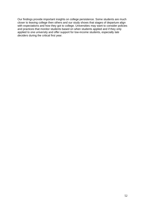Our findings provide important insights on college persistence. Some students are much closer to leaving college then others and our study shows that stages of departure align with expectations and how they got to college. Universities may want to consider policies and practices that monitor students based on when students applied and if they only applied to one university and offer support for low-income students, especially *late deciders* during the critical first year.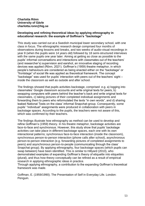## **Charlotta Rönn University of Gävle charlotta.ronn@hig.se**

## **Developing and refining theoretical ideas by applying ethnography in educational research: the example of Goffman's "backstage"**

This study was carried out at a Swedish municipal lower secondary school, with one class in focus. The ethnographic research design comprised four months of observations during lessons and breaks, and two weeks of audio-visual recordings in year 8 (when the pupils were 14 years old) followed by 18 semi-structured interviews with the same pupils one year later. Aiming at getting as close as possible to the pupils' informal conversations and interactions with classmates out of the teachers' (and researcher's) supervision and earshot, an innovative staging of recording devices was applied (Rönn, 2021). Goffman's (1959) theatre metaphor, in which people's behaviours are considered as being enacted either on the "backstage" or "frontstage" of social life was applied as theoretical framework. The concept "backstage" was used for pupils' interaction with peers out of the teachers' sight – inside the classroom as well as outside and after school.

The findings showed that pupils activities backstage, comprised e.g. a) logging into classmates' Google classroom accounts and write original texts for peers, b) swapping computers with peers behind the teacher's back and write original texts for classmates, c) taking pictures of their completed individual assignments and forwarding them to peers who reformulated the texts "in own words", and d) sharing leaked National Tests on the class' informal Snapchat-group. Consequently, some pupils' "individual" assignments were produced in collaboration with peers in backstage spaces. According to the pupils, the teachers were not aware of this, which was confirmed by their teachers.

The findings illustrate how ethnography as method can be used to develop and refine Goffman's (1959) theory. In his theatre metaphor, backstage activities are face-to-face and synchronous. However, this study show that pupils' backstage activities can take place in different backstage spaces, each one with its own interactional patterns; synchronous face-to-face interaction (inside the classroom), synchronous person-to-person interaction (phone calls after school), asynchronous person-to-person interaction (e.g. forwarding pictures of completed assignments to peers) and asynchronous person-to-people (communicating through the class' Snapchat group). By applying ethnography, four backstage spaces (which pupils can swap between) have been identified. This is similar to Hillyard (2010), who demonstrated examples of expanding Goffman's theory of etiquette into etiquettes (plural), and thus how theory conceptually can be refined as a result of empirical research in applying ethnographic ideas in practice.

Through applying ethnography, a contribution to the expanding Goffman's theoretical framework was made.

Goffman, E. (1959/1990). The Presentation of Self in Everyday Life. London: Penguin.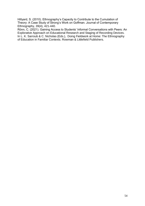Hillyard, S. (2010). Ethnography's Capacity to Contribute to the Cumulation of Theory: A Case Study of Strong's Work on Goffman. Journal of Contemporary Ethnography, 39(4), 421-440.

Rönn, C. (2021). Gaining Access to Students' Informal Conversations with Peers: An Explorative Approach on Educational Research and Staging of Recording Devices. In L. K. Sarroub & C. Nicholas (Eds.), Doing Fieldwork at Home: The Ethnography of Education in Familiar Contexts. Rowman & Littlefield Publishers.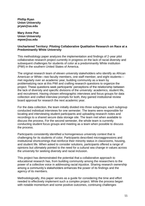**Phillip Ryan Union University pryan@uu.edu**

**Mary Anne Poe Union University mpoe@uu.edu**

## **Unchartered Territory: Piloting Collaborative Qualitative Research on Race at a Predominantly White University**

This methodology paper analyzes the implementation and findings of 2-year pilot collaborative research project currently in progress on the lack of racial diversity and subsequent challenges for students of color at a predominantly White institution (PWI) in the southern United States of America.

The original research team of eleven university stakeholders who identify as African American or White—two faculty members, one staff member, and eight students met regularly over an academic year, building community as a team by problematizing race at this PWI and crafting research questions to organize the project. These questions seek participants' perceptions of the relationship between the lack of diversity and specific divisions of the university: academics, student life, and recruitment. Having chosen ethnographic interviews and focus groups for data collection and crafted interview prompts for both, they gained institutional review board approval for research the next academic year.

For the data collection, the team initially divided into three subgroups; each subgroup conducted individual interviews for one semester. The teams were responsible for locating and interviewing student participants and uploading research notes and recordings to a shared secure data storage site. The team met when available to discuss the process. For the second semester, the whole team is currently conducting student focus groups and meeting as a team when possible to discuss the process.

Participants consistently identified a homogeneous university context that is challenging for its students of color. Participants described microaggressions and institutional shortcomings that reinforce their minority status in classrooms, housing, and student life. When asked to consider solutions, participants offered a range of opinions but ultimately pointed to the need for a cultural sea change in values across the university for seeking diversity and racial inclusion.

This project has demonstrated the potential that a collaborative approach to educational research has, from building community among the researchers to the power of a collective voice in addressing racial injustice. Sharing research ownership among a community's stakeholders enhances the power of its findings and the agency of its members.

Methodologically, this paper serves as a guide for considering the time and effort needed to effectively implement such a complex project. While the process began with notable momentum and some positive outcomes, continuing challenges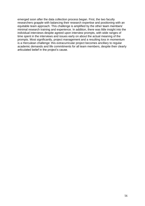emerged soon after the data collection process began. First, the two faculty researchers grapple with balancing their research expertise and positioning with an equitable team approach. This challenge is amplified by the other team members' minimal research training and experience. In addition, there was little insight into the individual interviews despite agreed upon interview prompts, with wide ranges of time spent in the interviews and issues early on about the actual meaning of the prompts. Most significantly, project management and a resulting loss in momentum is a Herculean challenge: this extracurricular project becomes ancillary to regular academic demands and life commitments for all team members, despite their clearly articulated belief in the project's cause.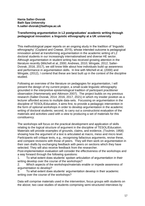## **Hania Salter-Dvorak Bath Spa University h.salter-dvorak@bathspa.ac.uk**

## **Transforming argumentation in L2 postgraduates' academic writing through pedagogical innovation: a linguistic ethnography at a UK university**

This methodological paper reports on an ongoing study in the tradition of 'linguistic ethnography' (Copland and Creese, 2015), whose intended outcome is pedagogical innovation aimed at transforming argumentation in the academic writing of L2 doctoral students in our increasingly internationalised and diverse HE sector. Although argumentation in student writing has received growing attention in the literature recently (Mitchell et al, 2000; Andrews, 2010; Wingate, 2012; Salter-Dvorak, 2016, 2017), we still know little about how individuals build up awareness and performance in argumentation skills. In line with Mitchell et al, (2000) and Wingate, (2012), I contend that these are best built up in the context of the discipline studied.

Following an overview of the literature on pedagogies for argumentation, I will present the design of my current project, a small-scale linguistic ethnography grounded in the interpretive epistemological tradition of participant practitioner observation (Hammersely and Atkinson 2007). The project builds on my previous research (Salter-Dvorak, 2014; 2016, 2017, 2021) in which my insider position as a lecturer afforded access to multiple data-sets. Focussing on argumentation in the discipline of TESOL/Education, it aims first, to provide a pedagogic intervention in the form of optional workshops in order to develop argumentation in the academic writing of doctoral students; second, to carry out a constructivist evaluation of the materials and activities used with a view to producing a set of materials for this constituency.

The workshops will focus on the practical development and application of skills relating to the logical structure of argument in the discipline of TESOL/Education. Materials will provide examples of grounds, claims, and evidence, (Toulmin, 1958) showing how the argument of a text is articulated at macro, meso and micro level. Participants will critique texts, e.g., recognising fallacious arguments, revise these, and compare revisions with those of peers. They will then work on argumentation in their own drafts by exchanging feedback with peers on sections which they have selected. They will also receive feedback from the researcher.

Post-implementation evaluation will consider the effectiveness of the workshops and a way forward through the following questions:

1. To what extent does students' spoken articulation of argumentation in their writing develop over the course of the workshops?

2. Which aspects of the workshops/materials enable or impede awareness of argumentation to develop?

3. To what extent does students' argumentation develop in their academic writing over the course of the workshops?

Data will comprise materials used in the intervention, focus groups with students on the above; two case studies of students comprising semi-structured interviews by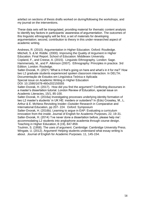artefact on sections of thesis drafts worked on during/following the workshops, and my journal on the interventions.

These data sets will be triangulated, providing material for thematic content analysis to identify key factors in participants' awareness of argumentation. The outcomes of this linguistic ethnography will be first, a set of materials for developing argumentation; second, contribution to theory in this under-researched aspect of academic writing.

Andrews, R. (2010). Argumentation in Higher Education. Oxford: Routledge. Mitchell, S. & M. Riddle. (2000). Improving the Quality of Argument in Higher Education. Final Report. School of Education: Middlesex University.

Copland, F., and Creese, A. (2015). Linguistic Ethnography. London: Sage. Hammersely, M., and P. Atkinson (2007). Ethnography: Principles in practice. 3rd Edition. London: Rouledge.

Salter-Dvorak, H. (2021) 'What is it that's going on here and what's in it for me?' How two L2 graduate students experienced spoken classroom interaction. In DELTA: Documentação de Estudos em Lingüística Teórica e Aplicada

Special issue on Academic Writing in Higher Education

DOI: 10.1590/1678-460x202155555

Salter-Dvorak, H. (2017). How did you find the argument? Conflicting discourses in a master's dissertation tutorial. London Review of Education, special issue on Academic Literacies, 15/1, 85-100.

Salter-Dvorak, H. (2016a) Investigating processes underlying identity formation of two L2 master's students' in UK HE: insiders or outsiders? In (Eds) Crossley, M., L. Arthur & E. McNess Revisiting Insider–Outsider Research in Comparative and International Education, pp 207- 224. Oxford: Symposium

Salter-Dvorak, H. (2016b). Learning to argue in EAP: Evaluating a curriculum innovation from the inside. Journal of English for Academic Purposes, 22, 19-31. Salter-Dvorak, H. (2014) 'I've never done a dissertation before, please help me': accommodating L2 students into anglophone academia through course design. Teaching in Higher Education, 8 (19), 847-859.

Toulmin, S. (1958). The uses of argument. Cambridge: Cambridge University Press. Wingate, U. (2012). Argument! Helping students understand what essay writing is about. Journal of English for Academic Purposes. 11, 145-154.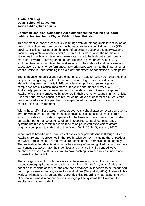## **Soufia A Siddiqi LUMS School of Education soufia.siddiqi@lums.edu.pk**

#### **Contested Identities; Competing Accountabilities: the making of a 'good' public schoolteacher in Khyber Pakhtunkhwa, Pakistan**

This substantive paper presents key learnings from an ethnographic investigation of how public school teachers perform as bureaucrats in Khyber Pakhtunkhwa (KP) province, Pakistan. Using a combination of participant observation, interviews and documentary/archival analysis over 16 months, this work traces the norms and strategies through which teacher-bureaucrats come to be both detracted from, and motivated towards, learning-oriented performance in government schools. By exploring teacher accounts of themselves against the state's official narratives and expectations of teacher performance, the work draws attention to the importance of teacher voice in understanding the everyday enactment or adaptation of state policy.

The comparison of official and lived experiences in teacher policy demonstrates that despite seemingly large political, bureaucratic and legal reform efforts aimed at 'depoliticising' teacher quality in KP, decades-long politics of patronage and compliance are still critical mediators of teacher performance (Levy et al., 2018). Additionally, performance measurement by the state does not seek to capture teacher effort as it is embodied by teachers in their everyday routines. In fact, official rules for performance continue to reproduce narratives of generalised bureaucratic practice, overlooking the peculiar challenges faced by the education sector in a conflict-affected environment.

Within these official structures, however, everyday school practice reveals an agency through which teacher-bureaucrats accumulate social and cultural capital. This finding provides an important departure for the Pakistani case from existing studies on teacher performance or sense of self in resource-constrained, misaligned systems like these wherein teachers tend to be perceived as voiceless actors singularly compliant to state instruction (World Bank, 2018; Aiyar et al., 2015).

In contrast to broad-brush narratives of passivity or powerlessness through which teachers are often represented in the South Asian context, including that of Pakistan, this work argues teacher-bureaucrats are agents of both compliance and agency. The realisation that despite frictions to the delivery of meaningful education, teachers can continue to account for their identities and practice in child-centred ways emphasises a socio-cultural revision to how teaching is framed in less understood contexts like that of KP.

The findings shared through this work also have meaningful implications for a recently emerging literature on teacher education in South Asia, which finds that agentic expressions of service and care are demanded by teachers to be recognised both in processes of training as well as evaluations (Setty et al, 2019). Above all, this work contributes to a large gap that currently exists regarding what happens to two of education's most important actors in a large public systems like Pakistan: the teacher and his/her student.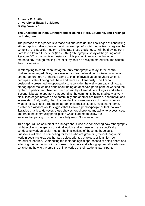#### **Amanda R. Smith University of Hawaiʻi at Mānoa ars3@hawaii.edu**

## **The Challenge of Insta-Ethnographies: Being T/Here, Bounding, and Tracings on Instagram**

The purpose of this paper is to tease out and consider the challenges of conducting ethnographic studies solely in the virtual world(s) of social media like Instagram, the context of this specific inquiry. To illustrate these challenges, I will be drawing from data taken from a three year (2017-2020) ethnographic study of the young adult literature (YA) community on Instagram. It is predominantly a meditation on methodology, though making use of study data as a way to materialize and situate the conversation.

In attempting to conduct an Instagram-only ethnographic study, three central challenges emerged. First, there was not a clear delineation of *where* I was as an ethnographer: here? or there? I came to think of myself as being t/here which is perhaps a state of being both here and there simultaneously. This liminal positionality presented an opportunity to reconsider the well-worn paths of how an ethnographer makes decisions about being an observer, participant, or working the hyphen in participant-observer. Each possibility offered different logics and ethics. Second, it became apparent that bounding the community being studied was very difficult as edges between one community and another are blurred, ephemeral, and interrelated. And, finally, I had to consider the consequences of making choices of what to follow in and through Instagram. In literacies studies, my content home, established wisdom would suggest that I follow a person/people or that I follow a literacies practice. However, these choices foreshortened my ability to access, see, and trace the community participation which lead me to follow the text/idea/happening in order to more fully map YA on Instagram.

This paper will be of interest to ethnographers who are considering how ethnography might evolve in the spaces of virtual worlds and to those who are specifically conducting work on social media. The implications of these methodological questions will also be compelling for those who are grounding their ethnographic work in poststructural, posthuman, object-oriented ontology, or feminist new materialist theories. Contributing the methodological approaches of being t/here and following the happening will be of use to teachers and ethnographers alike who are considering how to traverse the online worlds of their students/participants.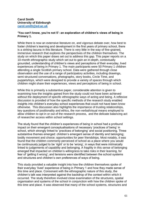#### **Carol Smith University of Edinburgh [carol.smith@ed.ac.uk](mailto:carol.smith@ed.ac.uk)**

## **'You can't know, you're not 5': an exploration of children's views of being in Primary 1.**

While there is now an extensive literature on, and vigorous debate over, how best to foster children's learning and development in the first years of primary school, there is a striking lacuna in this literature. There is very little in the way of fine-grained, immersive research that explores the perspectives of the children themselves. The study on which this paper draws set out to address this gap. This paper reports on a 10-month ethnographic study which set out to gain an in-depth, contextually grounded, understanding of children's views and perceptions of their everyday, lived experiences of being in Primary 1. The main participants were 50 Primary 1 children attending a single Scottish primary school. Data were gathered through close observation and the use of a range of participatory activities, including drawings, semi structured conversations, photographs, story books, Circle Time, and puppets/toys, which were designed to provide a variety of spaces through which children might share their experiences, views and perceptions of being in school.

While this is primarily a substantive paper, considerable attention is given to examining how the insights gained from the study could not have been achieved without the deployment of specific ethnographic ways of acting and being. A reflexive discussion is provided of how the specific methods of the research study enabled insights into children's everyday school experiences that could not have been know otherwise. This discussion also highlights the importance of trusting relationships, key questions of positionality and ethics, the non-verbal/visual means employed to allow children to opt in or out of the research process, and the delicate balancing act of researcher access within school settings.

The study found that the children's experiences of being in school had a profound impact on their emergent conceptualisations of necessary 'practices of being' in school, which strongly linked to 'practices of belonging' and social positioning. Three substantive themes emerged: children's emergent sense of identity and belonging; bodily movement and choice; opportunities for peer friendships. Most notably, it was found that the children commonly perceived of school as a place where you would be continuously judged to be 'right' or to be 'wrong', in ways that were intrinsically linked to judgements of capability and belonging. A fragility in this sense of belonging emerged that impacted on children's willingness to take risks in their learning, for fear of 'getting it wrong'; and tensions were identified between the school systems and structures and children's own preferences of ways of being.

This study provided a valuable insight into how the children themselves spoke of their everyday 'lived' experience of being in Primary 1 and how they made sense of this time and place. Consonant with the ethnographic nature of this study, the children's talk was interpreted against the backdrop of the context within which it occurred. The study therefore involved close examination of the structures, spatial organisation and systems of the school in conjunction with how the children spoke of this time and place. It was observed that many of the school systems, structures and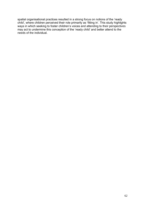spatial organisational practices resulted in a strong focus on notions of the 'ready child', where children perceived their role primarily as 'fitting in'. This study highlights ways in which seeking to foster children's voices and attending to their perspectives may act to undermine this conception of the 'ready child' and better attend to the needs of the individual.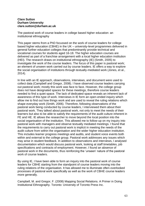#### **Clare Sutton Durham University clare.sutton@durham.ac.uk**

The pastoral work of course leaders in college based higher education: an institutional ethnography

This paper stems from a PhD focussed on the work of course leaders for college based higher education (CBHE) in the UK – university-level programmes delivered in general further education colleges that predominantly provide technical and vocational courses for students aged 16-18. The higher education courses are delivered as part of a franchise arrangement with a local higher education institution (HEI). The research draws on institutional ethnography (IE) (Smith, 2005) to investigate the work of the course leaders. The focus of this paper is pastoral work; an element of unseen work carried out by course leaders. IE offers a way to explore the social organisation of institutions through textually-mediated work (Jones, et al., 2014).

In line with an IE approach, observations, interviews, and document were used to collect data (Campbell and Gregor, 2008). I have observed course leaders carrying out pastoral work; mostly this work was face to face. However, the college group does not have designated spaces for these meetings, therefore course leaders needed to find a quiet space. The lack of dedicated space reveals an inherent lack of awareness of this type of work. Interviews in IE form an open-ended inquiry which allow me to find out how things work and are used to reveal the ruling relations which shape everyday work (Smith, 2006). Therefore, following observations of the pastoral work being conducted by course leaders, I interviewed them about their pastoral work. They talked about pastoral work, not only to meet the needs of their learners but also to be able to satisfy the requirements of the audit culture inherent in FE and HE. IE allows the researcher to move beyond the local position into the social organisation of the institution. This allowed me to follow-up on my inquiry into pastoral work with managers and observe textually mediated meetings. I found that the requirements to carry out pastoral work is implicit in meeting the needs of the audit culture from within the organisation and the wider higher education institution. This includes learner progress meetings and audits, and student voice events both within and external to the college group. Pastoral work addresses any issues which may arise in student feedback. In addition to observations and interviews, I analysed documentation which would discuss pastoral work, looking at staff timetables, job specifications and contracts of employment. However, I found an absence of pastoral work in the documents, thus reinforcing the 'unseen' nature of the pastoral work of course leaders.

By using IE, I have been able to form an inquiry into the pastoral work of course leaders for CBHE starting from the standpoint of course leaders moving into the ruling relations of the organisation. It has allowed me to illuminate often-overlooked processes of pastoral work specifically as well as the work of CBHE course leaders more generally.

Campbell, M. and Gregor, F. (2008) Mapping Social Relations. A Primer in Doing Institutional Ethnography. Toronto: University of Toronto Press Inc.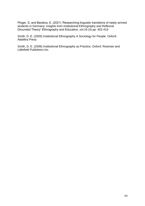Ploger, S. and Barakos, E. (2021) 'Researching linguistic transitions of newly-arrived students in Germany: insights from Institutional Ethnography and Reflexive Grounded Theory' Ethnography and Education, vol:16 (4) pp. 402-419

Smith, D. E. (2005) Institutional Ethnography A Sociology for People. Oxford: AltaMira Press

Smith, D. E. (2006) Institutional Ethnography as Practice. Oxford: Rowman and Littlefield Publishers Inc.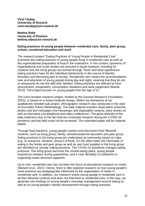**Vicki Täubig University of Rostock vicki.taeubig@uni-rostock.de**

#### **Bettina Rabe University of Rostock bettina.rabe@uni-rostock.de**

## **Eating practices of young people between residential care, family, peer group, school, vocational education and work**

The research project "Eating Practices of Young People in Residential Care" examines the eating practices of young people living in residential care as well as the organisational preparation of food in the institutions. In this context, questions of organisational and youth studies are pursued in equal measure, including for instance how the living groups are formed through "food" and what significance eating practices have for the individual adolescents in the course of identity formation and becoming part of society. Residential care means the accommodation, care and education of young people during day and night, meaning that they do not or temporarily do not live with their families. Eating practices are defined as food procurement, preparation, consumption situations and taste judgement (Warde, 2013). The project focuses on young people from the age of 12.

The cross-location research project, funded by the German Research Foundation (DFG), is based on a mixed-methods design. Within the framework of our qualitatively oriented sub-project, ethnographic research was conducted in the style of Grounded Theory Methodology. The data material includes observation protocols, photos and text messages (via messenger and disposable camera), diary entries as well as interviews (via telephone and video conference). The great diversity of the data material is due to the fact that we conducted research during the COVID-19 pandemic and the field could not be accessed. The submitted paper will be material based.

Through food practices, young people connect and disconnect their lifeworld contexts, such as living group, family, school/vocational education and peer group. Eating practices in the living group are understood as community based on rules (e.g. on presence, duration, amount of food). On the other hand, the informality of eating in the family and peer group as well as own food supplies in the living group are identified as 'private' eating practices. The COVID-19 pandemic changes eating practices: The living group becomes the central eating place, young people experience isolation during quarantines, and a 'new' flexibility of institutions in organising meals becomes apparent.

Up to now, residential care has not been the focus of educational research on meals (Markert et al., 2021). Hence, there is little explored research on how young people's meal practices are pedagogically influenced by the organisation of meals in residential care. In addition, our research shows young people in residential care in all their lifeworld contexts and does not limit them to residential care. In this way, we generate new findings on young people's everyday management around eating as well as on young people's identity development through eating practices.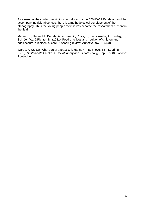As a result of the contact restrictions introduced by the COVID-19 Pandemic and the accompanying field absences, there is a methodological development of the ethnography. Thus the young people themselves become the researchers present in the field.

Markert, J., Herke, M., Bartels, A., Gosse, K., Roick, J., Herz-Jakoby, A., Täubig, V., Schröer, W., & Richter, M. (2021). Food practices and nutrition of children and adolescents in residential care: A scoping review. *Appetite, 167,* 105640.

Warde, A. (2013). What sort of a practice is eating? In E. Shove, & N. Spurling (Eds.), *Sustainable Practices. Social theory and climate change* (pp. 17-30). London: Routledge.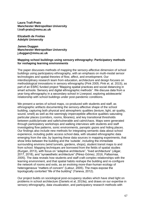**Laura Trafí-Prats Manchester Metropolitan University l.trafi-prats@mmu.ac.uk**

**Elizabeth de Freitas Adelphi University**

**James Duggan Manchester Metropolitan University j.duggan@mmu.ac.uk**

#### **Mapping school buildings using sensory ethnography: Participatory methods for reshaping learning environments**

The paper discusses methods of mapping the sensory-affective dimension of school buildings using participatory ethnography, with an emphasis on multi-modal sensor technologies and spatial theories of flow, affect, and envelopment. Our interdisciplinary research team from education, architecture and design focuses on methodological innovations in sensory ethnography (Pink 2005; Pink et. al. 2015), as part of an ESRC funded project "Mapping spatial practices and social distancing in smart schools: Sensory and digital ethnographic methods". We discuss data from a year-long ethnography in a secondary school in Liverpool, exploring adolescents' relationship with school buildings under post-pandemic conditions.

We present a series of school maps, co-produced with students and staff, as ethnographic artifacts documenting the sensory-affective shape of the school building, capturing both physical and atmospheric qualities (texture, light, air quality, sound, smell) as well as the seemingly imperceptible affective qualities saturating particular places (corridors, rooms, libraries), and key transitional thresholds between public/private and safe/vulnerable and calm/chaos. Maps were generated through participatory workshops and walking interviews with students and staff investigating flow patterns, sonic environments, panoptic gazes and hiding places. Our findings also include new methods for integrating semantic data about school experience, including public access school data, with situated ethnographic data emerging from the site, by layering these data sources in mapping experiments, that show links between the building and the 'outside', including the immediate surrounding environs (wind tunnels, gardens, shops), student transit maps to and from school. Mapping techniques are borrowed from the fields of spatial studies (Kurgan, 2013), with focus on "adaptive architecture", "lived architecture" (Jägar, 2017, 2018), and "synaesthetic architecture" (Pérez-Gómez, 2016, Pallasmaa, 2005). The data reveals how students and staff craft complex relationships with the learning environment, and that spatial habits reshape the building and re-configure the network of rooms and exits, as an evolving more-than-human ecology of heterogeneous "matters of concern" (Latour, 2005). The maps expose the topologically contorted "life of the building" (Yaneva, 2012).

Our project builds on sociological post-occupancy studies which have shed light on problems in school architecture (Daniels et al, 2019a), and draws on our expertise in sensory ethnography, data visualization, and participatory research methods with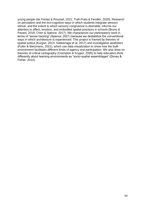young people (de Freitas & Roussel, 2021; Trafí-Prats & Fendler, 2020). Research on perception and the eco-cognitive ways in which students integrate sensory stimuli, and the extent to which sensory congruence is desirable, informs our attention to affect, emotion, and embodied spatial practices in schools (Bruno & Pavani, 2018; Chen & Spence, 2017). We characterize our participatory work in terms of "sense hacking" (Spence, 2021) because we destabilize the conventional ways in which architecture is experienced. This project is framed by theories of spatial justice (Kurgan, 2013; Saldiarraga et al, 2017) and investigative aesthetics (Fuller & Weizmann, 2021), which use data visualization to show how the built environment facilitates different kinds of agency and participation. We also draw on theories of critical cartography (Crampton & Krygier, 2005) to help educators think differently about learning environments as "socio-spatial assemblages" (Dovey & Fisher, 2014).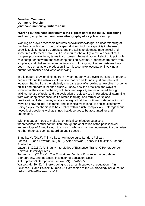## **Jonathan Tummons Durham University jonathan.tummons@durham.ac.uk**

#### **"Sorting out the handlebar stuff is the biggest part of the build." Becoming and being a cycle mechanic – an ethnography of a cycle workshop**

Working as a cycle mechanic requires specialist knowledge, an understanding of mechanics, a thorough grasp of a specialist terminology, capability in the use of specific tools for specific purposes, and the ability to diagnose mechanical and sometimes electrical problems. It also requires the ability to explain sometimes complex processes in lay terms to customers, the navigation of electronic point-ofsale computer software and workshop booking systems, ordering spare parts from suppliers, and challenging manufacturers to put things right when mistakes have been made on a factory production line. It is a complex occupation involving a number of practices and ways of knowing.

In this paper I draw on findings from my ethnography of a cycle workshop in order to begin exploring the networks of practice that can be found in just one physical location. Starting from the relatively mundane task of unboxing a new bike in order to build it and prepare it for shop display, I show how the practices and ways of knowing of the cycle mechanic, both tacit and explicit, are instantiated through talking, the use of tools, and the evaluation of objectivised knowledge, all stemming from workshop experience, self-directed learning, and formal workplace qualifications. I also use my analysis to argue that the continued categorisation of ways on knowing into 'academic' and 'technical/vocational' is a false dichotomy. Being a cycle mechanic is to be enrolled within a rich, complex and heterogeneous network of people as well as things that deserves to be accounted for and understood.

With this paper I hope to make an empirical contribution but also a theoretical/conceptual contribution through the application of the philosophical anthropology of Bruno Latour, the work of whom is I argue under-used in comparison to other theorists such as Bourdieu and Foucault.

Engelke, M. (2017). Think Like an Anthropologist. London: Pelican. Fenwick, T. and Edwards, R. (2010). Actor-Network Theory in Education. London: Routledge. Latour, B. (2013a). An Inquiry Into Modes of Existence. Transl. C Porter. London: Harvard University Press. Tummons, J. (2021). On The Educational Mode of Existence: Latour, Meta-Ethnography, and the Social Institution of Education. Social Anthropology/Anthropologie Sociale. 29(3): 570-585. Walcott, H. (2011). "If there's going to be an anthropology of education…" In Levinson, B. and Pollock, M. (eds.) A Companion to the Anthropology of Education. Oxford: Wiley-Blackwell. 97-111.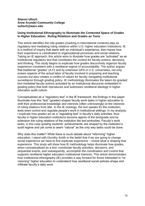## **Sharon Ultsch Anne Arundel Community College sultsch@aacc.edu**

## **Using Institutional Ethnography to Illuminate the Contested Space of Grades in Higher Education: Ruling Relations and Grades as Texts**

This article identifies the role grades (marking in international contexts) play as regulatory text mediating ruling relations within U.S. higher education institutions. IE is a method of inquiry that starts with an individual's experience, then traces how their experience is coordinated to organizational processes and social relations. Taking an IE approach, this article aims to illustrate how grades are "activated" as an institutional regulatory text that constitutes the context for faculty actions, decisions, and thinking. This study begins to explicate how grades discursively organize faculty experience consistent with a neoliberal regime of accountability. The author argues that traditional "grades" (A-F) and by extension GPA in U.S. universities, not only erases aspects of the actual labor of faculty involved in preparing and teaching courses but also creates a conflict of values for faculty navigating institutional surveillance through grading policy. IE methodology illuminates the taken-for-granted text-mediated faculty actions activated by an institutional discourse embedded in grading policy that both reproduces and buttresses neoliberal ideology in higher education audit culture.

Conceptualized as a "regulatory text" in the IE framework, the findings in this paper illuminate how this "text" (grades) shapes faculty work tasks in higher education to shift their professional knowledge and interests (often unknowingly) to the interests of ruling relations from afar. In the IE ontology, the text speaks for the institution; texts exert control and regulate people's work in institutional settings. In my analysis, I explicate how grades act as a "regulating text" in faculty's daily activities, thus faculty in higher education institutions become agents of the text/grade and by extension the ruling relations of the institution the text embodies. Faculty's work tasks, in this case grading students' achievements, are shaped by the institution's audit regime and yet come to seem "natural" as the only way tasks could be done.

Why does this matter? While there is much debate about "reforming" higher education, I stand with Dorothy Smith in the belief that if we are going to change social experience we have to first explicate experience – reveal what is shaping that experience. This study will show how IE methodology helps illuminate how grades, when conceptualized as a text, coordinate faculty activities, decisions, and sequential events, and subsequently, accomplish the coordination and control that supports neoliberal higher education institutional interests. This article demonstrates how institutional ethnography (IE) provides a way forward for those interested in "revisioning" higher education to understand how neoliberal social policies shape and infiltrate faculty's daily work.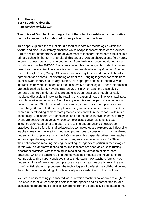## **Ruth Unsworth York St John University r.unsworth@yorksj.ac.uk**

## **The Voice of Google. An ethnography of the role of cloud-based collaborative technologies in the formation of primary classroom practices**

This paper explores the role of cloud-based collaborative technologies within the textual and discursive literacy practices which shape teachers' classroom practices. Part of a wider ethnography of the development of teachers' classroom practices in a primary school in the north of England, this paper draws on observations, field notes, interview transcripts and documentary data from fieldwork conducted during a four month period in the 2017-2018 academic year. Using ethnographic data, this paper describes how a suite of collaborative technologies developed by Google - Google Slides, Google Drive, Google Classroom – is used by teachers during collaborative agreement of a shared understanding of practices. Bringing together concepts from actor-network theory and literacy studies, this paper provides an in-depth view of interactions between teachers and the collaborative technologies. These interactions are positioned as literacy events (Barton, 2007) in which teachers discursively generate a shared understanding around classroom practices through textuallymediated discussions involving the reading or creation of new online texts, facilitated by collaborative technologies. Each literacy event is seen as part of a wider actornetwork (Latour, 2005) of shared understanding around classroom practices; an assemblage (Latour, 2005) of people and things who act in association to effect the shared understanding of classroom practices existent within the school. Within this assemblage , collaborative technologies and the teachers involved in each literacy event are positioned as actors whose complex associative relationships exert influence upon each other and upon the resulting understanding of classroom practices. Specific functions of collaborative technologies are explored as influencing teachers' meaning-generation, mediating professional discussions in which a shared understanding of practices is formed. Conversely, this paper describes how teachers in turn shape the ways in which the technologies are enrolled (Callon, 1986) into their collaborative meaning-making, activating the agency of particular technologies. In this way, collaborative technologies and teachers are seen as co-constructing classroom practices, with technologies mediating the formation of classroom practices, whilst the teachers using the technologies mediate the influence of the technologies. This paper concludes that to understand how teachers form shared understandings of their classroom practices, we must, as part of this, examine the co-influential relationship between the technologies of professional collaboration and the collective understanding of professional praxis existent within the institution.

We live in an increasingly connected world in which teachers collaborate through the use of collaborative technologies both in virtual spaces and as part of face-to-face discussions around their practices. Emerging from the perspective presented in this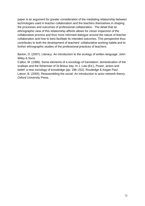paper is an argument for greater consideration of the mediating relationship between technologies used in teacher collaboration and the teachers themselves in shaping the processes and outcomes of professional collaboration. The detail that an ethnographic view of this relationship affords allows for closer inspection of the collaborative process and thus more informed dialogue around the nature of teacher collaboration and how to best facilitate its intended outcomes. This perspective thus contributes to both the development of teachers' collaborative working habits and to further ethnographic studies of the professional practices of teachers.

Barton, D. (2007). Literacy: An introduction to the ecology of written language. John Wiley & Sons.

Callon, M. (1986). Some elements of a sociology of translation: domestication of the scallops and the fisherman of St Brieuc bay. In J. Law (Ed.), Power, action and belief: a new sociology of knowledge (pp. 196–232). Routledge & Kegan Paul. Latour, B. (2005). Reassembling the social: An introduction to actor-network-theory. Oxford University Press.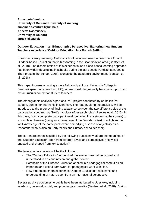**Annamaria Ventura University of Bari and University of Aalborg annamaria.ventura1@uniba.it Annette Rasmussen University of Aalborg anra@ikl.aau.dk**

# **Outdoor Education in an Ethnographic Perspective: Exploring how Student Teachers experience 'Outdoor Education' in a Danish Setting**

Udeskole (literally meaning 'Outdoor school') is a term used to describe a form of Outdoor-based Education that is blossoming in the Scandinavian area (Bentsen et al., 2018). The dissemination of this experiential and place-based learning approach has been widely developing in schools, during the last decade (Christensen, 2004; The Forest in the School, 2008); alongside the academic environment (Bentsen et al., 2018).

This paper focuses on a single case field study at Local University College in Denmark (pseudonymized as LUC), where Udeskole gradually became a topic of an extracurricular course for student teachers.

The ethnographic analysis is part of a PhD project conducted by an Italian PhD student, during her internship in Denmark. The reader, along the analysis, will be introduced to the urgency of finding a balance between the two different poles of the participation spectrum by Gold's 'typology of research roles' (Reeves et al., 2013). In this case, from a complete participant level (behaving like a student at the course) to a complete observer (being an external eye of the Danish context to enlighten the tacit knowledge of the participants while embodying a sense of objectivity as a researcher who is also an Early Years and Primary school teacher).

The current research is guided by the following question: what are the meanings of the 'Outdoor Education' seen from different levels and perspectives? How is it enacted and shaped from text to action?

The levels under analysis will be the following:

- The 'Outdoor Education' in the Nordic scenario: how nature is used and understood in a Scandinavian and global context.
- Potentials of the Outdoor Education applied in a pedagogical context as an important and useful framework for pedagogical work with kids.
- How student teachers experience Outdoor Education: relationship and understanding of nature seen from an international perspective.

Several positive outcomes to pupils have been attributed to Udeskole, including academic, personal, social, and physiological benefits (Bentsen et al., 2018). During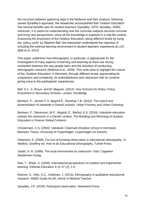the recursion between gathering data in the fieldwork and their analysis, following James Spradley's approach, the researcher accomplished that 'Outdoor Education' has several benefits also for student teachers (Spradley, 1979; Spradley, 2006); moreover, it is useful for understanding how the curricular subjects become concrete and bring new perspectives, since all the knowledge is explored in a real-life context. Examining the enactment of the Outdoor Education, along different levels by using the "policy cycle" by Stephen Ball, the researcher understands the objective of including the external learning environment in student teachers' experience at LUC (Ball et al. 2012).

This paper underlines how ethnography, in particular, is appropriate for the investigation of many aspects of learning and teaching as there are strong similarities between the way people learn and the activities of conducting ethnographic research (Walford et al., 2008). This work aims to highlight the culture of the 'Outdoor Education' in Denmark, through different levels, appreciating its uniqueness and complexity, its embeddedness and interaction with its contexts giving voice to the participants' experiences.

Ball, S.J., A. Braun, and M. Maguire. (2012). How Schools Do Policy: Policy Enactment in Secondary Schools. London: Routledge.

Bentsen, P., Jensen F.S, Mygind E., Randrup T.B. (2010). The extent and dissemination of udeskole in Danish schools. Urban Forestry and Urban Greening.

Bentsen, P., Stevenson, M.P., Mygind, E., Barfod, K.S. (2018). Udeskole education outside the classroom in a Danish context. The Budding and Blooming of Outdoor Education in Diverse Global Contexts.

Christensen, C.S. (2004). Udeskole i Danmark (Outdoor school in Denmark). Bachelor Thesis, University of Copenhagen, Copenhagen (in Danish).

Delamont, S. (2008). For lust of knowing-observation in educational ethnography. In: Walford, Geoffrey ed. How to do Educational Ethnography, Tufnell Press.

Jordet, A. N. (1998). The local environment as classroom. Oslo: Cappelen Akademisk Forlag.

Rea, T., Waite, S. (2009). International perspectives on outdoor and experiential learning. Editorial Education 3-13 37 (2), 1-4.

Reeves, S., Kitto, S.C., Goldman, J. (2013). Ethnography in qualitative educational research: AMEE Guide No.80. Article in Medical Teacher.

Spradley, J.P. (2016). Participant observation. Waveland Press.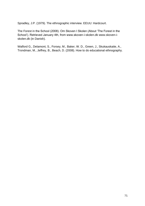Spradley, J.P. (1979). The ethnographic interview. EEUU: Hardcourt.

The Forest in the School (2008). Om Skoven I Skolen (About 'The Forest in the School'). Retrieved January 4th, from www.skoven-i-skolen.dk www.skoven-iskolen.dk (in Danish).

Walford G., Delamont, S., Forsey, M., Baker, W. D., Green, J., Skukauskaite, A., Trondman, M., Jeffrey, B., Beach, D. (2008). How to do educational ethnography.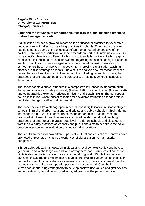### **Begoña Vigo-Arrazola University of Zaragoza. Spain mbvigo@unizar.es**

### **Exploring the influence of ethnographic research in digital teaching practices of disadvantaged schools**

Digitalisation has had a growing impact on the educational practices for over three decades now, with effects on teaching practices in schools. Ethnographic research has documented some of the effects but often from a neutral perspective of nonpolitical, non-partizan participant observer-recorder reporter of unfolding events. Our more specific objective is different to this. It is to identify how different ethnographic studies can influence educational knowledge regarding the subject of digitalisation of teaching practices in disadvantaged schools in a global context. It relates to ethnographers become involved in research for improving digitalisation teaching practices in disadvantaged schools. The aim is to analyse how interaction between researchers and teachers can influence both the unfolding research process, the practices that are researched and the perspectives held by teachers in schools to these ends.

The paper adopts a critical ethnographic perspective influenced by transformation theory and concepts of catalytic validity (Lather, 1986), concientization (Freire, 1970) and ethnographic explanatory critique (Maisuria and Beach, 2018). The concept of double inscription, where critical research for social transformation changes things, but it also changes itself as well, is central.

The paper derives from ethnographic research about digitalisation in disadvantaged schools, in rural and urban locations, and private and public schools in Spain, during the period 2008-2020, but concentrates on the opportunities that this research produced at different times. The analysis is based on showing digital teaching practices that emerge at the grass-roots level in different schools and classrooms from the everyday practices of teachers and pupils and aims to penetrate the policypractice interface in the evaluation of educational innovations.

The results so far show how different political, cultural and educational contexts have promoted or restricted inclusive experiences of digitalisation from a material perspective.

Ethnographic educational research in global and local contexts could contribute to generalize and to challenge old and form new general case narratives of education digitalisation for social transformation in a globalizing world. Whole libraries, vast banks of knowledge and multimedia resources are available via an object that fits in our pockets and functions also as a camera, a recording device, a film-editor and a means to talk in pairs or groups with people all over the world. Contributing knowledge about using ethnography to develop positive use values of digital devices and education digitalization for disadvantaged groups is the paper's ambition.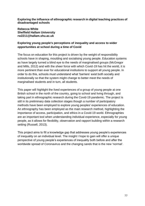**Exploring the influence of ethnographic research in digital teaching practices of disadvantaged schools**

**Rebecca White Sheffield Hallam University rw2211@hallam.shu.ac.uk**

## **Exploring young people's perceptions of inequality and access to wider opportunities at school during a time of Covid**

The focus on education for this project is driven by the weight of responsibility schools have in shaping, moulding and socialising young people. Education systems as have largely turned a blind eye to the needs of marginalised groups (McGregor and Mills, 2012) and with the sheer force with which Covid-19 has hit the world, it is more pertinent than ever for educational institutions to support all young people. In order to do this, schools must understand what 'barriers' exist both socially and institutionally so that the system might change to better meet the needs of marginalised students and in turn, all students.

This paper will highlight the lived experiences of a group of young people at one British school in the north of the country, going to school and living through, and taking part in ethnographic research during the Covid-19 pandemic. The project is still in its preliminary data collection stages though a number of participatory methods have been employed to explore young peoples' experiences of education. An ethnography has been employed as the main research method, highlighting the importance of access, participation, and ethics in a Covid-19 world. Ethnographies are an important tool when understanding individual experience, especially for young people, as it allows for flexibility, observation and rapport building within a research setting (Russell, 2013).

This project aims to fill a knowledge gap that addresses young people's experiences of inequality on an individual level. The insight I hope to gain will offer a unique perspective of young people's experiences of inequality both before and after the worldwide spread of Coronavirus and the changing sands that is the new 'normal'.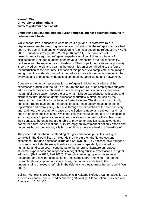### **Wen-Yu Wu University of Birmingham wxw779@alumni.bham.ac.uk**

### **Embodying educational hopes: Syrian refugees' higher education pursuits in Lebanon and Jordan**

While school-level education is considered a right and its protective role in displacement emphasized, higher education provision via the refugee mandate had been once very limited and only provided to "the most deserving refugees" (UNHCR. 2007. Education strategy 2007-2009, p. 16 note 11). The narratives of deservingness foreground refugees' experiences of conflict and suffering of displacement. Refugee students often have to demonstrate their exceptionality, resilience and the experiences of hardships. Their hope for educational opportunity is portrayed as heroic and bearing the great mission of contributing to the future reconstruction of their country. The task of this paper is to complicate such images and ground the understanding of higher education as a hope that is situated in the everyday and enmeshed in the acts of commuting, participating and networking.

Contrary to the heroic representation of refugees in higher education and the expectations laden with the future of "return and rebuild" or as employable subjects, educational hopes are embodied in the everyday ordinary actions as they seek meaningful participation. Nevertheless, what might be experienced as hiccups and disruptions throughout students' educational pursuits is often induced by the distinction and identification of being a Syrian/refugee. The distinction is not only enacted through legal and bureaucratic procedures of documentation for school registration and exam sittings, but also through the circulation of the success story and, at times, the researcher's gaze on the Syrian refugee as a subject—and her hope of another success story. While the jointly constructed hope of an exceptional story may spark hopeful visions at times, it also tends to remove the subjects from their contexts, the ones that are unable to provide for practical steps towards the hoped-for future. As educational pursuits imply an investment of not only efforts and resources but also emotions, a failed pursuit may therefore lead to a "heartbreak".

The paper furthers the understanding of higher education pursuits in refugee contexts in the Global South. It extends the literature on the "futureless and exceptional" refugee education (Brun and Shuayb 2020) by showing how refugees constantly negotiate the exceptionality and urgency repeatedly inscribed by humanitarian discourses. It contributes to the emerging literature on refugee students' experiences and responses in negotiating multiple expectations in higher education (Bellino 2018; Fert 2020). Through examining my own hopes as a researcher and how our expectations—the interlocutors' and mine—shape the research relationship and our interactions, the paper contributes to the understanding of researcher' role in the field as she tries to make herself useful (Wu, 2022).

Bellino, Michelle J. 2018. 'Youth aspirations in Kakuma Refugee Camp: education as a means for social, spatial, and economic (im)mobility', Globalisation, Societies and Education, 16: 541-56.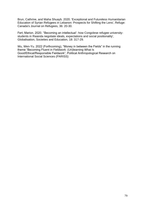Brun, Cathrine, and Maha Shuayb. 2020. 'Exceptional and Futureless Humanitarian Education of Syrian Refugees in Lebanon: Prospects for Shifting the Lens', Refuge: Canada's Journal on Refugees, 36: 20-30.

Fert, Marion. 2020. ''Becoming an intellectual': how Congolese refugee universitystudents in Rwanda negotiate ideals, expectations and social positionality', Globalisation, Societies and Education, 18: 317-29.

Wu, Wen-Yu. 2022 (Forthcoming), "Money in between the Fields" in the running theme "Becoming Fluent in Fieldwork: (Un)learning What Is Good/Ethical/Responsible Fieldwork", Political Anthropological Research on International Social Sciences (PARISS)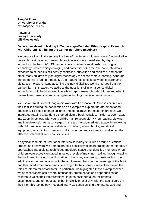**Pengfei Zhao University of Florida pzhao@coe.ufl.edu** 

**Peiwei Li Lesley University pli3@lesley.edu**

### **Generative Meaning Making in Technology-Mediated Ethnographic Research with Children: Rethinking the Center-periphery Imaginary**

We propose to critically engage the idea of "centering children's voices" in qualitative research by situating our research practice in a context mediated by digital technology. In the COVID19 pandemic era, children's relationship with digital technology is both rapidly changing and contentious. On the one hand, children's exposure to screens is still heavily controlled, surveilled and sanitized, and on the other, many children rely on digital technology to access remote learning. Although the pandemic is fading (hopefully), the fraught relationship between children and digital technology remains as an increasingly digitalized world emerges from the pandemic. In this paper, we address the questions of in what sense digital technology could be integrated into ethnographic research with children and what it means to empower children in a digital-technology-mediated environment.

We use our multi-sited ethnographic work with transnational Chinese children and their families during the pandemic as an example to explore the aforementioned questions. To better engage children and democratize the research process, we integrated reading a pandemic-themed picture book, Outside, Inside (LeUyen, 2021), into Zoom interviews with young children (5-10 years old). When reading, viewing, and interviewing/chatting converged in the technology-mediated space, interviewing with children becomes a constellation of children, adults, books, and digital equipment, which in turn creates conditions for generative meaning making on the affective, inferential, and acoustic levels.

If a typical semi-structured Zoom interview is mainly structured around questions, probes, and answers, we demonstrated a possibility of incorporating other interactive approaches into a digital-technology-mediated space and identified moments when children were actively engaged in various levels of meaning-making: through viewing the book, reading aloud the illustration of the book, answering questions from the adult researcher, negotiating with the adult researchers on the meanings of the book and their lived experience, and interacting with their parents, who often played the roles of interpreter or facilitator. In particular, we highlighted those examples when we as researchers could more intentionally create space and opportunities for children to voice their interpretations, to push back our taken-for-granted assumptions, and to negotiate, either implicitly or explicitly, with the adult figures in their life. This technology-mediated interview condition is further intersected and